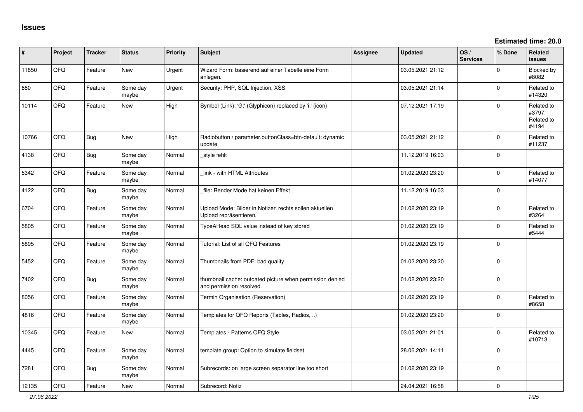| ∦     | Project | <b>Tracker</b> | <b>Status</b>     | Priority | <b>Subject</b>                                                                       | Assignee | <b>Updated</b>   | OS/<br><b>Services</b> | % Done      | Related<br>issues                           |
|-------|---------|----------------|-------------------|----------|--------------------------------------------------------------------------------------|----------|------------------|------------------------|-------------|---------------------------------------------|
| 11850 | QFQ     | Feature        | <b>New</b>        | Urgent   | Wizard Form: basierend auf einer Tabelle eine Form<br>anlegen.                       |          | 03.05.2021 21:12 |                        | $\Omega$    | Blocked by<br>#8082                         |
| 880   | QFQ     | Feature        | Some day<br>maybe | Urgent   | Security: PHP, SQL Injection, XSS                                                    |          | 03.05.2021 21:14 |                        | $\Omega$    | Related to<br>#14320                        |
| 10114 | QFQ     | Feature        | <b>New</b>        | High     | Symbol (Link): 'G:' (Glyphicon) replaced by 'i:' (icon)                              |          | 07.12.2021 17:19 |                        | $\Omega$    | Related to<br>#3797,<br>Related to<br>#4194 |
| 10766 | QFQ     | Bug            | <b>New</b>        | High     | Radiobutton / parameter.buttonClass=btn-default: dynamic<br>update                   |          | 03.05.2021 21:12 |                        | $\Omega$    | Related to<br>#11237                        |
| 4138  | QFQ     | Bug            | Some day<br>maybe | Normal   | style fehlt                                                                          |          | 11.12.2019 16:03 |                        | $\Omega$    |                                             |
| 5342  | QFQ     | Feature        | Some day<br>maybe | Normal   | link - with HTML Attributes                                                          |          | 01.02.2020 23:20 |                        | $\Omega$    | Related to<br>#14077                        |
| 4122  | QFQ     | Bug            | Some day<br>maybe | Normal   | file: Render Mode hat keinen Effekt                                                  |          | 11.12.2019 16:03 |                        | $\Omega$    |                                             |
| 6704  | QFQ     | Feature        | Some day<br>maybe | Normal   | Upload Mode: Bilder in Notizen rechts sollen aktuellen<br>Upload repräsentieren.     |          | 01.02.2020 23:19 |                        | $\Omega$    | Related to<br>#3264                         |
| 5805  | QFQ     | Feature        | Some day<br>maybe | Normal   | TypeAHead SQL value instead of key stored                                            |          | 01.02.2020 23:19 |                        | $\Omega$    | Related to<br>#5444                         |
| 5895  | QFQ     | Feature        | Some day<br>maybe | Normal   | Tutorial: List of all QFQ Features                                                   |          | 01.02.2020 23:19 |                        | $\Omega$    |                                             |
| 5452  | QFQ     | Feature        | Some day<br>maybe | Normal   | Thumbnails from PDF: bad quality                                                     |          | 01.02.2020 23:20 |                        | $\Omega$    |                                             |
| 7402  | QFQ     | Bug            | Some day<br>maybe | Normal   | thumbnail cache: outdated picture when permission denied<br>and permission resolved. |          | 01.02.2020 23:20 |                        | $\mathbf 0$ |                                             |
| 8056  | QFQ     | Feature        | Some day<br>maybe | Normal   | Termin Organisation (Reservation)                                                    |          | 01.02.2020 23:19 |                        | $\Omega$    | Related to<br>#8658                         |
| 4816  | QFQ     | Feature        | Some day<br>maybe | Normal   | Templates for QFQ Reports (Tables, Radios, )                                         |          | 01.02.2020 23:20 |                        | $\Omega$    |                                             |
| 10345 | QFQ     | Feature        | <b>New</b>        | Normal   | Templates - Patterns QFQ Style                                                       |          | 03.05.2021 21:01 |                        | $\Omega$    | Related to<br>#10713                        |
| 4445  | QFQ     | Feature        | Some day<br>maybe | Normal   | template group: Option to simulate fieldset                                          |          | 28.06.2021 14:11 |                        | $\Omega$    |                                             |
| 7281  | QFQ     | Bug            | Some day<br>maybe | Normal   | Subrecords: on large screen separator line too short                                 |          | 01.02.2020 23:19 |                        | $\Omega$    |                                             |
| 12135 | QFQ     | Feature        | <b>New</b>        | Normal   | Subrecord: Notiz                                                                     |          | 24.04.2021 16:58 |                        | $\Omega$    |                                             |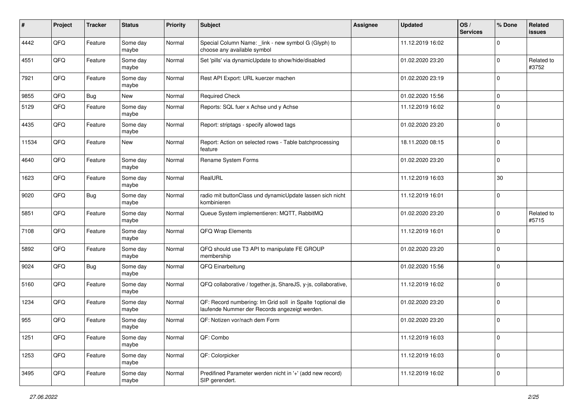| $\pmb{\#}$ | Project | <b>Tracker</b> | <b>Status</b>     | <b>Priority</b> | <b>Subject</b>                                                                                               | Assignee | <b>Updated</b>   | OS/<br><b>Services</b> | % Done      | Related<br>issues   |
|------------|---------|----------------|-------------------|-----------------|--------------------------------------------------------------------------------------------------------------|----------|------------------|------------------------|-------------|---------------------|
| 4442       | QFQ     | Feature        | Some day<br>maybe | Normal          | Special Column Name: _link - new symbol G (Glyph) to<br>choose any available symbol                          |          | 11.12.2019 16:02 |                        | 0           |                     |
| 4551       | QFQ     | Feature        | Some day<br>maybe | Normal          | Set 'pills' via dynamicUpdate to show/hide/disabled                                                          |          | 01.02.2020 23:20 |                        | $\mathbf 0$ | Related to<br>#3752 |
| 7921       | QFQ     | Feature        | Some day<br>maybe | Normal          | Rest API Export: URL kuerzer machen                                                                          |          | 01.02.2020 23:19 |                        | $\mathbf 0$ |                     |
| 9855       | QFQ     | Bug            | New               | Normal          | <b>Required Check</b>                                                                                        |          | 01.02.2020 15:56 |                        | 0           |                     |
| 5129       | QFQ     | Feature        | Some day<br>maybe | Normal          | Reports: SQL fuer x Achse und y Achse                                                                        |          | 11.12.2019 16:02 |                        | $\mathbf 0$ |                     |
| 4435       | QFQ     | Feature        | Some day<br>maybe | Normal          | Report: striptags - specify allowed tags                                                                     |          | 01.02.2020 23:20 |                        | $\mathbf 0$ |                     |
| 11534      | QFQ     | Feature        | <b>New</b>        | Normal          | Report: Action on selected rows - Table batchprocessing<br>feature                                           |          | 18.11.2020 08:15 |                        | $\mathbf 0$ |                     |
| 4640       | QFQ     | Feature        | Some day<br>maybe | Normal          | Rename System Forms                                                                                          |          | 01.02.2020 23:20 |                        | $\mathbf 0$ |                     |
| 1623       | QFQ     | Feature        | Some day<br>maybe | Normal          | RealURL                                                                                                      |          | 11.12.2019 16:03 |                        | 30          |                     |
| 9020       | QFQ     | <b>Bug</b>     | Some day<br>maybe | Normal          | radio mit buttonClass und dynamicUpdate lassen sich nicht<br>kombinieren                                     |          | 11.12.2019 16:01 |                        | $\mathbf 0$ |                     |
| 5851       | QFQ     | Feature        | Some day<br>maybe | Normal          | Queue System implementieren: MQTT, RabbitMQ                                                                  |          | 01.02.2020 23:20 |                        | $\mathbf 0$ | Related to<br>#5715 |
| 7108       | QFQ     | Feature        | Some day<br>maybe | Normal          | QFQ Wrap Elements                                                                                            |          | 11.12.2019 16:01 |                        | $\mathbf 0$ |                     |
| 5892       | QFQ     | Feature        | Some day<br>maybe | Normal          | QFQ should use T3 API to manipulate FE GROUP<br>membership                                                   |          | 01.02.2020 23:20 |                        | $\mathbf 0$ |                     |
| 9024       | QFQ     | Bug            | Some day<br>maybe | Normal          | QFQ Einarbeitung                                                                                             |          | 01.02.2020 15:56 |                        | $\mathbf 0$ |                     |
| 5160       | QFQ     | Feature        | Some day<br>maybe | Normal          | QFQ collaborative / together.js, ShareJS, y-js, collaborative,                                               |          | 11.12.2019 16:02 |                        | $\mathbf 0$ |                     |
| 1234       | QFQ     | Feature        | Some day<br>maybe | Normal          | QF: Record numbering: Im Grid soll in Spalte 1 optional die<br>laufende Nummer der Records angezeigt werden. |          | 01.02.2020 23:20 |                        | $\mathbf 0$ |                     |
| 955        | QFQ     | Feature        | Some day<br>maybe | Normal          | QF: Notizen vor/nach dem Form                                                                                |          | 01.02.2020 23:20 |                        | $\mathbf 0$ |                     |
| 1251       | QFQ     | Feature        | Some day<br>maybe | Normal          | QF: Combo                                                                                                    |          | 11.12.2019 16:03 |                        | $\mathbf 0$ |                     |
| 1253       | QFG     | Feature        | Some day<br>maybe | Normal          | QF: Colorpicker                                                                                              |          | 11.12.2019 16:03 |                        | 0           |                     |
| 3495       | QFQ     | Feature        | Some day<br>maybe | Normal          | Predifined Parameter werden nicht in '+' (add new record)<br>SIP gerendert.                                  |          | 11.12.2019 16:02 |                        | $\mathbf 0$ |                     |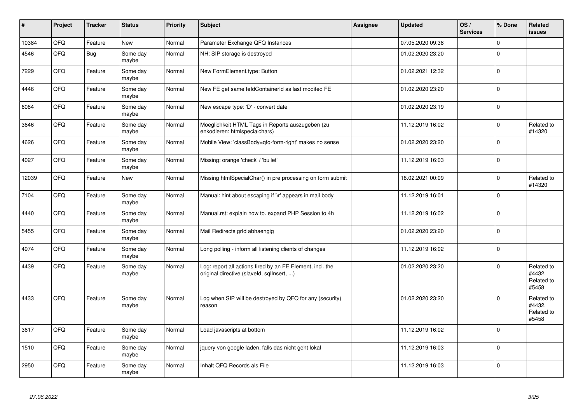| $\sharp$ | Project | <b>Tracker</b> | <b>Status</b>     | Priority | <b>Subject</b>                                                                                         | Assignee | <b>Updated</b>   | OS/<br><b>Services</b> | % Done      | Related<br><b>issues</b>                    |
|----------|---------|----------------|-------------------|----------|--------------------------------------------------------------------------------------------------------|----------|------------------|------------------------|-------------|---------------------------------------------|
| 10384    | QFQ     | Feature        | New               | Normal   | Parameter Exchange QFQ Instances                                                                       |          | 07.05.2020 09:38 |                        | $\Omega$    |                                             |
| 4546     | QFQ     | <b>Bug</b>     | Some day<br>maybe | Normal   | NH: SIP storage is destroyed                                                                           |          | 01.02.2020 23:20 |                        | $\Omega$    |                                             |
| 7229     | QFQ     | Feature        | Some day<br>maybe | Normal   | New FormElement.type: Button                                                                           |          | 01.02.2021 12:32 |                        | $\Omega$    |                                             |
| 4446     | QFQ     | Feature        | Some day<br>maybe | Normal   | New FE get same feldContainerId as last modifed FE                                                     |          | 01.02.2020 23:20 |                        | $\mathbf 0$ |                                             |
| 6084     | QFQ     | Feature        | Some day<br>maybe | Normal   | New escape type: 'D' - convert date                                                                    |          | 01.02.2020 23:19 |                        | $\Omega$    |                                             |
| 3646     | QFQ     | Feature        | Some day<br>maybe | Normal   | Moeglichkeit HTML Tags in Reports auszugeben (zu<br>enkodieren: htmlspecialchars)                      |          | 11.12.2019 16:02 |                        | $\Omega$    | Related to<br>#14320                        |
| 4626     | QFQ     | Feature        | Some day<br>maybe | Normal   | Mobile View: 'classBody=qfq-form-right' makes no sense                                                 |          | 01.02.2020 23:20 |                        | $\Omega$    |                                             |
| 4027     | QFQ     | Feature        | Some day<br>maybe | Normal   | Missing: orange 'check' / 'bullet'                                                                     |          | 11.12.2019 16:03 |                        | $\Omega$    |                                             |
| 12039    | QFQ     | Feature        | <b>New</b>        | Normal   | Missing htmlSpecialChar() in pre processing on form submit                                             |          | 18.02.2021 00:09 |                        | $\Omega$    | Related to<br>#14320                        |
| 7104     | QFQ     | Feature        | Some day<br>maybe | Normal   | Manual: hint about escaping if '\r' appears in mail body                                               |          | 11.12.2019 16:01 |                        | $\Omega$    |                                             |
| 4440     | QFQ     | Feature        | Some day<br>maybe | Normal   | Manual.rst: explain how to. expand PHP Session to 4h                                                   |          | 11.12.2019 16:02 |                        | $\Omega$    |                                             |
| 5455     | QFQ     | Feature        | Some day<br>maybe | Normal   | Mail Redirects grld abhaengig                                                                          |          | 01.02.2020 23:20 |                        | $\Omega$    |                                             |
| 4974     | QFQ     | Feature        | Some day<br>maybe | Normal   | Long polling - inform all listening clients of changes                                                 |          | 11.12.2019 16:02 |                        | $\Omega$    |                                             |
| 4439     | QFQ     | Feature        | Some day<br>maybe | Normal   | Log: report all actions fired by an FE Element, incl. the<br>original directive (slaveld, sqllnsert, ) |          | 01.02.2020 23:20 |                        | $\Omega$    | Related to<br>#4432,<br>Related to<br>#5458 |
| 4433     | QFQ     | Feature        | Some day<br>maybe | Normal   | Log when SIP will be destroyed by QFQ for any (security)<br>reason                                     |          | 01.02.2020 23:20 |                        | $\Omega$    | Related to<br>#4432,<br>Related to<br>#5458 |
| 3617     | QFQ     | Feature        | Some day<br>maybe | Normal   | Load javascripts at bottom                                                                             |          | 11.12.2019 16:02 |                        | $\Omega$    |                                             |
| 1510     | QFQ     | Feature        | Some day<br>maybe | Normal   | jquery von google laden, falls das nicht geht lokal                                                    |          | 11.12.2019 16:03 |                        | $\Omega$    |                                             |
| 2950     | QFQ     | Feature        | Some day<br>maybe | Normal   | Inhalt QFQ Records als File                                                                            |          | 11.12.2019 16:03 |                        | $\Omega$    |                                             |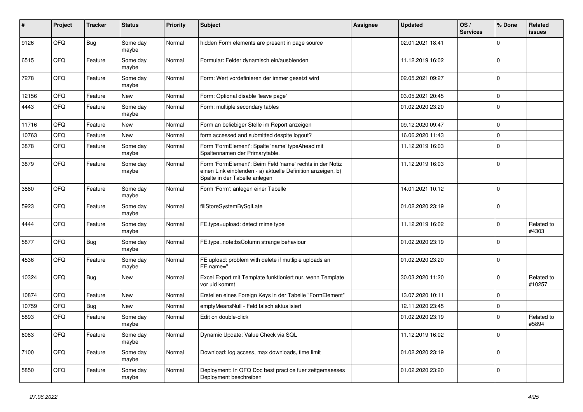| #     | Project | <b>Tracker</b> | <b>Status</b>     | <b>Priority</b> | <b>Subject</b>                                                                                                                                           | <b>Assignee</b> | <b>Updated</b>   | OS/<br><b>Services</b> | % Done      | Related<br>issues    |
|-------|---------|----------------|-------------------|-----------------|----------------------------------------------------------------------------------------------------------------------------------------------------------|-----------------|------------------|------------------------|-------------|----------------------|
| 9126  | QFQ     | Bug            | Some day<br>maybe | Normal          | hidden Form elements are present in page source                                                                                                          |                 | 02.01.2021 18:41 |                        | $\Omega$    |                      |
| 6515  | QFQ     | Feature        | Some day<br>maybe | Normal          | Formular: Felder dynamisch ein/ausblenden                                                                                                                |                 | 11.12.2019 16:02 |                        | $\mathbf 0$ |                      |
| 7278  | QFQ     | Feature        | Some day<br>maybe | Normal          | Form: Wert vordefinieren der immer gesetzt wird                                                                                                          |                 | 02.05.2021 09:27 |                        | $\Omega$    |                      |
| 12156 | QFQ     | Feature        | <b>New</b>        | Normal          | Form: Optional disable 'leave page'                                                                                                                      |                 | 03.05.2021 20:45 |                        | $\Omega$    |                      |
| 4443  | QFQ     | Feature        | Some day<br>maybe | Normal          | Form: multiple secondary tables                                                                                                                          |                 | 01.02.2020 23:20 |                        | $\Omega$    |                      |
| 11716 | QFQ     | Feature        | New               | Normal          | Form an beliebiger Stelle im Report anzeigen                                                                                                             |                 | 09.12.2020 09:47 |                        | 0           |                      |
| 10763 | QFQ     | Feature        | New               | Normal          | form accessed and submitted despite logout?                                                                                                              |                 | 16.06.2020 11:43 |                        | $\mathbf 0$ |                      |
| 3878  | QFQ     | Feature        | Some day<br>maybe | Normal          | Form 'FormElement': Spalte 'name' typeAhead mit<br>Spaltennamen der Primarytable.                                                                        |                 | 11.12.2019 16:03 |                        | $\Omega$    |                      |
| 3879  | QFQ     | Feature        | Some day<br>maybe | Normal          | Form 'FormElement': Beim Feld 'name' rechts in der Notiz<br>einen Link einblenden - a) aktuelle Definition anzeigen, b)<br>Spalte in der Tabelle anlegen |                 | 11.12.2019 16:03 |                        | $\mathbf 0$ |                      |
| 3880  | QFQ     | Feature        | Some day<br>maybe | Normal          | Form 'Form': anlegen einer Tabelle                                                                                                                       |                 | 14.01.2021 10:12 |                        | $\Omega$    |                      |
| 5923  | QFQ     | Feature        | Some day<br>maybe | Normal          | fillStoreSystemBySqlLate                                                                                                                                 |                 | 01.02.2020 23:19 |                        | $\Omega$    |                      |
| 4444  | QFQ     | Feature        | Some day<br>maybe | Normal          | FE.type=upload: detect mime type                                                                                                                         |                 | 11.12.2019 16:02 |                        | $\mathbf 0$ | Related to<br>#4303  |
| 5877  | QFQ     | Bug            | Some day<br>maybe | Normal          | FE.type=note:bsColumn strange behaviour                                                                                                                  |                 | 01.02.2020 23:19 |                        | $\mathbf 0$ |                      |
| 4536  | QFQ     | Feature        | Some day<br>maybe | Normal          | FE upload: problem with delete if mutliple uploads an<br>FE.name="                                                                                       |                 | 01.02.2020 23:20 |                        | $\Omega$    |                      |
| 10324 | QFQ     | Bug            | <b>New</b>        | Normal          | Excel Export mit Template funktioniert nur, wenn Template<br>vor uid kommt                                                                               |                 | 30.03.2020 11:20 |                        | $\Omega$    | Related to<br>#10257 |
| 10874 | QFQ     | Feature        | New               | Normal          | Erstellen eines Foreign Keys in der Tabelle "FormElement"                                                                                                |                 | 13.07.2020 10:11 |                        | $\mathbf 0$ |                      |
| 10759 | QFQ     | Bug            | New               | Normal          | emptyMeansNull - Feld falsch aktualisiert                                                                                                                |                 | 12.11.2020 23:45 |                        | 0           |                      |
| 5893  | QFQ     | Feature        | Some day<br>maybe | Normal          | Edit on double-click                                                                                                                                     |                 | 01.02.2020 23:19 |                        | $\Omega$    | Related to<br>#5894  |
| 6083  | QFQ     | Feature        | Some day<br>maybe | Normal          | Dynamic Update: Value Check via SQL                                                                                                                      |                 | 11.12.2019 16:02 |                        | $\Omega$    |                      |
| 7100  | QFQ     | Feature        | Some day<br>maybe | Normal          | Download: log access, max downloads, time limit                                                                                                          |                 | 01.02.2020 23:19 |                        | $\Omega$    |                      |
| 5850  | QFQ     | Feature        | Some day<br>maybe | Normal          | Deployment: In QFQ Doc best practice fuer zeitgemaesses<br>Deployment beschreiben                                                                        |                 | 01.02.2020 23:20 |                        | $\Omega$    |                      |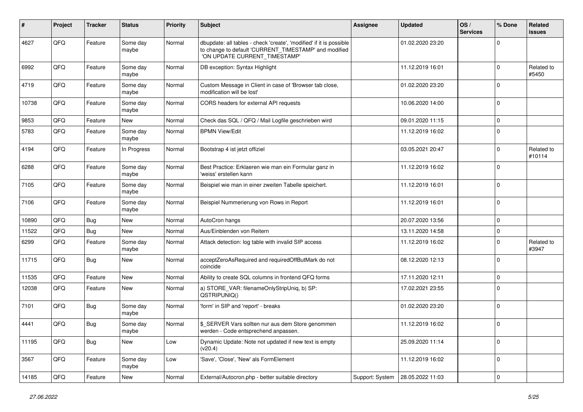| #     | Project | <b>Tracker</b> | <b>Status</b>     | <b>Priority</b> | <b>Subject</b>                                                                                                                                                | Assignee        | <b>Updated</b>   | OS/<br><b>Services</b> | % Done      | Related<br>issues    |
|-------|---------|----------------|-------------------|-----------------|---------------------------------------------------------------------------------------------------------------------------------------------------------------|-----------------|------------------|------------------------|-------------|----------------------|
| 4627  | QFQ     | Feature        | Some day<br>maybe | Normal          | dbupdate: all tables - check 'create', 'modified' if it is possible<br>to change to default 'CURRENT_TIMESTAMP' and modified<br>'ON UPDATE CURRENT_TIMESTAMP' |                 | 01.02.2020 23:20 |                        | $\Omega$    |                      |
| 6992  | QFQ     | Feature        | Some day<br>maybe | Normal          | DB exception: Syntax Highlight                                                                                                                                |                 | 11.12.2019 16:01 |                        | $\Omega$    | Related to<br>#5450  |
| 4719  | QFQ     | Feature        | Some day<br>maybe | Normal          | Custom Message in Client in case of 'Browser tab close,<br>modification will be lost'                                                                         |                 | 01.02.2020 23:20 |                        | $\Omega$    |                      |
| 10738 | QFQ     | Feature        | Some day<br>maybe | Normal          | CORS headers for external API requests                                                                                                                        |                 | 10.06.2020 14:00 |                        | $\Omega$    |                      |
| 9853  | QFQ     | Feature        | <b>New</b>        | Normal          | Check das SQL / QFQ / Mail Logfile geschrieben wird                                                                                                           |                 | 09.01.2020 11:15 |                        | $\mathbf 0$ |                      |
| 5783  | QFQ     | Feature        | Some day<br>maybe | Normal          | <b>BPMN View/Edit</b>                                                                                                                                         |                 | 11.12.2019 16:02 |                        | $\Omega$    |                      |
| 4194  | QFQ     | Feature        | In Progress       | Normal          | Bootstrap 4 ist jetzt offiziel                                                                                                                                |                 | 03.05.2021 20:47 |                        | $\Omega$    | Related to<br>#10114 |
| 6288  | QFQ     | Feature        | Some day<br>maybe | Normal          | Best Practice: Erklaeren wie man ein Formular ganz in<br>'weiss' erstellen kann                                                                               |                 | 11.12.2019 16:02 |                        | $\Omega$    |                      |
| 7105  | QFQ     | Feature        | Some day<br>maybe | Normal          | Beispiel wie man in einer zweiten Tabelle speichert.                                                                                                          |                 | 11.12.2019 16:01 |                        | $\mathbf 0$ |                      |
| 7106  | QFQ     | Feature        | Some day<br>maybe | Normal          | Beispiel Nummerierung von Rows in Report                                                                                                                      |                 | 11.12.2019 16:01 |                        | $\Omega$    |                      |
| 10890 | QFQ     | <b>Bug</b>     | <b>New</b>        | Normal          | AutoCron hangs                                                                                                                                                |                 | 20.07.2020 13:56 |                        | $\mathbf 0$ |                      |
| 11522 | QFQ     | <b>Bug</b>     | <b>New</b>        | Normal          | Aus/Einblenden von Reitern                                                                                                                                    |                 | 13.11.2020 14:58 |                        | $\mathbf 0$ |                      |
| 6299  | QFQ     | Feature        | Some day<br>maybe | Normal          | Attack detection: log table with invalid SIP access                                                                                                           |                 | 11.12.2019 16:02 |                        | $\Omega$    | Related to<br>#3947  |
| 11715 | QFQ     | Bug            | <b>New</b>        | Normal          | acceptZeroAsRequired and requiredOffButMark do not<br>coincide                                                                                                |                 | 08.12.2020 12:13 |                        | $\mathbf 0$ |                      |
| 11535 | QFQ     | Feature        | New               | Normal          | Ability to create SQL columns in frontend QFQ forms                                                                                                           |                 | 17.11.2020 12:11 |                        | 0           |                      |
| 12038 | QFQ     | Feature        | New               | Normal          | a) STORE_VAR: filenameOnlyStripUniq, b) SP:<br>QSTRIPUNIQ()                                                                                                   |                 | 17.02.2021 23:55 |                        | $\Omega$    |                      |
| 7101  | QFQ     | Bug            | Some day<br>maybe | Normal          | 'form' in SIP and 'report' - breaks                                                                                                                           |                 | 01.02.2020 23:20 |                        | $\Omega$    |                      |
| 4441  | QFQ     | <b>Bug</b>     | Some day<br>maybe | Normal          | \$ SERVER Vars sollten nur aus dem Store genommen<br>werden - Code entsprechend anpassen.                                                                     |                 | 11.12.2019 16:02 |                        | $\mathbf 0$ |                      |
| 11195 | QFQ     | <b>Bug</b>     | New               | Low             | Dynamic Update: Note not updated if new text is empty<br>(v20.4)                                                                                              |                 | 25.09.2020 11:14 |                        | $\mathbf 0$ |                      |
| 3567  | QFQ     | Feature        | Some day<br>maybe | Low             | 'Save', 'Close', 'New' als FormElement                                                                                                                        |                 | 11.12.2019 16:02 |                        | $\mathbf 0$ |                      |
| 14185 | QFQ     | Feature        | New               | Normal          | External/Autocron.php - better suitable directory                                                                                                             | Support: System | 28.05.2022 11:03 |                        | $\mathbf 0$ |                      |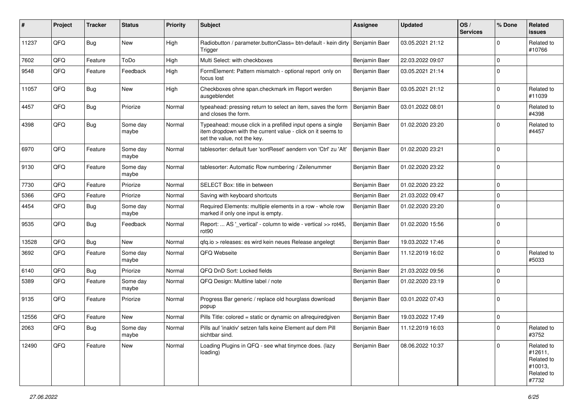| #     | Project | <b>Tracker</b> | <b>Status</b>     | <b>Priority</b> | <b>Subject</b>                                                                                                                                           | <b>Assignee</b> | <b>Updated</b>   | OS/<br><b>Services</b> | % Done      | Related<br>issues                                                     |
|-------|---------|----------------|-------------------|-----------------|----------------------------------------------------------------------------------------------------------------------------------------------------------|-----------------|------------------|------------------------|-------------|-----------------------------------------------------------------------|
| 11237 | QFQ     | Bug            | <b>New</b>        | High            | Radiobutton / parameter.buttonClass= btn-default - kein dirty<br>Trigger                                                                                 | Benjamin Baer   | 03.05.2021 21:12 |                        | $\Omega$    | Related to<br>#10766                                                  |
| 7602  | QFQ     | Feature        | ToDo              | High            | Multi Select: with checkboxes                                                                                                                            | Benjamin Baer   | 22.03.2022 09:07 |                        | $\mathbf 0$ |                                                                       |
| 9548  | QFQ     | Feature        | Feedback          | High            | FormElement: Pattern mismatch - optional report only on<br>focus lost                                                                                    | Benjamin Baer   | 03.05.2021 21:14 |                        | 0           |                                                                       |
| 11057 | QFQ     | <b>Bug</b>     | <b>New</b>        | High            | Checkboxes ohne span.checkmark im Report werden<br>ausgeblendet                                                                                          | Benjamin Baer   | 03.05.2021 21:12 |                        | $\mathbf 0$ | Related to<br>#11039                                                  |
| 4457  | QFQ     | Bug            | Priorize          | Normal          | typeahead: pressing return to select an item, saves the form<br>and closes the form.                                                                     | Benjamin Baer   | 03.01.2022 08:01 |                        | $\Omega$    | Related to<br>#4398                                                   |
| 4398  | QFQ     | Bug            | Some day<br>maybe | Normal          | Typeahead: mouse click in a prefilled input opens a single<br>item dropdown with the current value - click on it seems to<br>set the value, not the key. | Benjamin Baer   | 01.02.2020 23:20 |                        | $\Omega$    | Related to<br>#4457                                                   |
| 6970  | QFQ     | Feature        | Some day<br>maybe | Normal          | tablesorter: default fuer 'sortReset' aendern von 'Ctrl' zu 'Alt'                                                                                        | Benjamin Baer   | 01.02.2020 23:21 |                        | $\Omega$    |                                                                       |
| 9130  | QFQ     | Feature        | Some day<br>maybe | Normal          | tablesorter: Automatic Row numbering / Zeilenummer                                                                                                       | Benjamin Baer   | 01.02.2020 23:22 |                        | $\mathbf 0$ |                                                                       |
| 7730  | QFQ     | Feature        | Priorize          | Normal          | SELECT Box: title in between                                                                                                                             | Benjamin Baer   | 01.02.2020 23:22 |                        | $\mathbf 0$ |                                                                       |
| 5366  | QFQ     | Feature        | Priorize          | Normal          | Saving with keyboard shortcuts                                                                                                                           | Benjamin Baer   | 21.03.2022 09:47 |                        | $\Omega$    |                                                                       |
| 4454  | QFQ     | <b>Bug</b>     | Some day<br>maybe | Normal          | Required Elements: multiple elements in a row - whole row<br>marked if only one input is empty.                                                          | Benjamin Baer   | 01.02.2020 23:20 |                        | $\Omega$    |                                                                       |
| 9535  | QFQ     | Bug            | Feedback          | Normal          | Report:  AS '_vertical' - column to wide - vertical >> rot45,<br>rot <sub>90</sub>                                                                       | Benjamin Baer   | 01.02.2020 15:56 |                        | $\mathbf 0$ |                                                                       |
| 13528 | QFQ     | Bug            | <b>New</b>        | Normal          | gfg.io > releases: es wird kein neues Release angelegt                                                                                                   | Benjamin Baer   | 19.03.2022 17:46 |                        | 0           |                                                                       |
| 3692  | QFQ     | Feature        | Some day<br>maybe | Normal          | QFQ Webseite                                                                                                                                             | Benjamin Baer   | 11.12.2019 16:02 |                        | $\Omega$    | Related to<br>#5033                                                   |
| 6140  | QFQ     | Bug            | Priorize          | Normal          | QFQ DnD Sort: Locked fields                                                                                                                              | Benjamin Baer   | 21.03.2022 09:56 |                        | $\mathbf 0$ |                                                                       |
| 5389  | QFQ     | Feature        | Some day<br>maybe | Normal          | QFQ Design: Multline label / note                                                                                                                        | Benjamin Baer   | 01.02.2020 23:19 |                        | $\Omega$    |                                                                       |
| 9135  | QFQ     | Feature        | Priorize          | Normal          | Progress Bar generic / replace old hourglass download<br>popup                                                                                           | Benjamin Baer   | 03.01.2022 07:43 |                        | $\mathbf 0$ |                                                                       |
| 12556 | QFQ     | Feature        | <b>New</b>        | Normal          | Pills Title: colored = static or dynamic on allrequiredgiven                                                                                             | Benjamin Baer   | 19.03.2022 17:49 |                        | $\Omega$    |                                                                       |
| 2063  | QFQ     | Bug            | Some day<br>maybe | Normal          | Pills auf 'inaktiv' setzen falls keine Element auf dem Pill<br>sichtbar sind.                                                                            | Benjamin Baer   | 11.12.2019 16:03 |                        | $\mathbf 0$ | Related to<br>#3752                                                   |
| 12490 | QFQ     | Feature        | New               | Normal          | Loading Plugins in QFQ - see what tinymce does. (lazy<br>loading)                                                                                        | Benjamin Baer   | 08.06.2022 10:37 |                        | $\Omega$    | Related to<br>#12611,<br>Related to<br>#10013,<br>Related to<br>#7732 |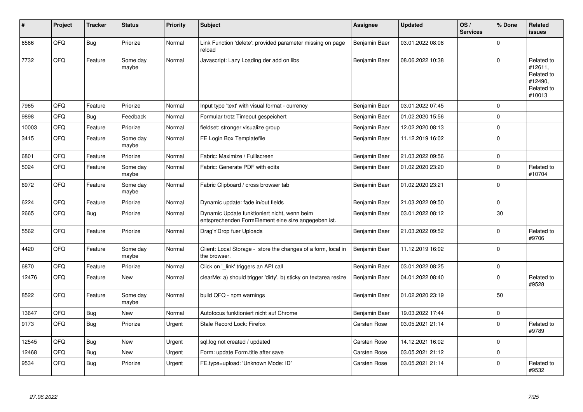| #     | Project | <b>Tracker</b> | <b>Status</b>     | <b>Priority</b> | <b>Subject</b>                                                                                      | Assignee            | <b>Updated</b>   | OS/<br><b>Services</b> | % Done      | Related<br>issues                                                      |
|-------|---------|----------------|-------------------|-----------------|-----------------------------------------------------------------------------------------------------|---------------------|------------------|------------------------|-------------|------------------------------------------------------------------------|
| 6566  | QFQ     | Bug            | Priorize          | Normal          | Link Function 'delete': provided parameter missing on page<br>reload                                | Benjamin Baer       | 03.01.2022 08:08 |                        | $\Omega$    |                                                                        |
| 7732  | QFQ     | Feature        | Some day<br>maybe | Normal          | Javascript: Lazy Loading der add on libs                                                            | Benjamin Baer       | 08.06.2022 10:38 |                        | $\Omega$    | Related to<br>#12611,<br>Related to<br>#12490,<br>Related to<br>#10013 |
| 7965  | QFQ     | Feature        | Priorize          | Normal          | Input type 'text' with visual format - currency                                                     | Benjamin Baer       | 03.01.2022 07:45 |                        | $\Omega$    |                                                                        |
| 9898  | QFQ     | Bug            | Feedback          | Normal          | Formular trotz Timeout gespeichert                                                                  | Benjamin Baer       | 01.02.2020 15:56 |                        | $\Omega$    |                                                                        |
| 10003 | QFQ     | Feature        | Priorize          | Normal          | fieldset: stronger visualize group                                                                  | Benjamin Baer       | 12.02.2020 08:13 |                        | 0           |                                                                        |
| 3415  | QFQ     | Feature        | Some day<br>maybe | Normal          | FE Login Box Templatefile                                                                           | Benjamin Baer       | 11.12.2019 16:02 |                        | $\Omega$    |                                                                        |
| 6801  | QFQ     | Feature        | Priorize          | Normal          | Fabric: Maximize / FullIscreen                                                                      | Benjamin Baer       | 21.03.2022 09:56 |                        | 0           |                                                                        |
| 5024  | QFQ     | Feature        | Some day<br>maybe | Normal          | Fabric: Generate PDF with edits                                                                     | Benjamin Baer       | 01.02.2020 23:20 |                        | $\Omega$    | Related to<br>#10704                                                   |
| 6972  | QFQ     | Feature        | Some day<br>maybe | Normal          | Fabric Clipboard / cross browser tab                                                                | Benjamin Baer       | 01.02.2020 23:21 |                        | $\Omega$    |                                                                        |
| 6224  | QFQ     | Feature        | Priorize          | Normal          | Dynamic update: fade in/out fields                                                                  | Benjamin Baer       | 21.03.2022 09:50 |                        | $\mathbf 0$ |                                                                        |
| 2665  | QFQ     | <b>Bug</b>     | Priorize          | Normal          | Dynamic Update funktioniert nicht, wenn beim<br>entsprechenden FormElement eine size angegeben ist. | Benjamin Baer       | 03.01.2022 08:12 |                        | 30          |                                                                        |
| 5562  | QFQ     | Feature        | Priorize          | Normal          | Drag'n'Drop fuer Uploads                                                                            | Benjamin Baer       | 21.03.2022 09:52 |                        | $\Omega$    | Related to<br>#9706                                                    |
| 4420  | QFQ     | Feature        | Some day<br>maybe | Normal          | Client: Local Storage - store the changes of a form, local in<br>the browser.                       | Benjamin Baer       | 11.12.2019 16:02 |                        | $\Omega$    |                                                                        |
| 6870  | QFQ     | Feature        | Priorize          | Normal          | Click on 'link' triggers an API call                                                                | Benjamin Baer       | 03.01.2022 08:25 |                        | $\mathbf 0$ |                                                                        |
| 12476 | QFQ     | Feature        | <b>New</b>        | Normal          | clearMe: a) should trigger 'dirty', b) sticky on textarea resize                                    | Benjamin Baer       | 04.01.2022 08:40 |                        | $\Omega$    | Related to<br>#9528                                                    |
| 8522  | QFQ     | Feature        | Some day<br>maybe | Normal          | build QFQ - npm warnings                                                                            | Benjamin Baer       | 01.02.2020 23:19 |                        | 50          |                                                                        |
| 13647 | QFQ     | <b>Bug</b>     | <b>New</b>        | Normal          | Autofocus funktioniert nicht auf Chrome                                                             | Benjamin Baer       | 19.03.2022 17:44 |                        | 0           |                                                                        |
| 9173  | QFQ     | <b>Bug</b>     | Priorize          | Urgent          | Stale Record Lock: Firefox                                                                          | <b>Carsten Rose</b> | 03.05.2021 21:14 |                        | $\Omega$    | Related to<br>#9789                                                    |
| 12545 | QFQ     | Bug            | <b>New</b>        | Urgent          | sgl.log not created / updated                                                                       | <b>Carsten Rose</b> | 14.12.2021 16:02 |                        | $\Omega$    |                                                                        |
| 12468 | QFQ     | <b>Bug</b>     | <b>New</b>        | Urgent          | Form: update Form.title after save                                                                  | Carsten Rose        | 03.05.2021 21:12 |                        | $\mathbf 0$ |                                                                        |
| 9534  | QFQ     | <b>Bug</b>     | Priorize          | Urgent          | FE.type=upload: 'Unknown Mode: ID"                                                                  | Carsten Rose        | 03.05.2021 21:14 |                        | $\Omega$    | Related to<br>#9532                                                    |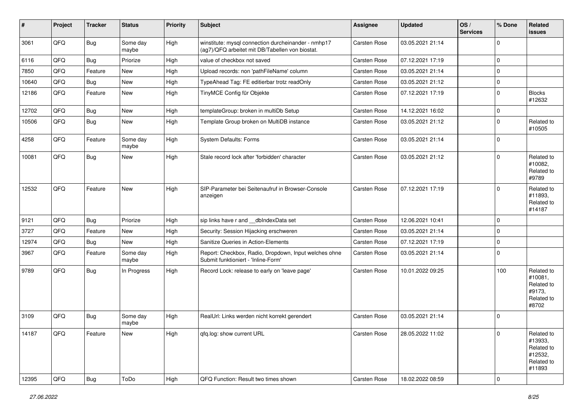| #     | Project | <b>Tracker</b> | <b>Status</b>     | <b>Priority</b> | Subject                                                                                                | Assignee            | <b>Updated</b>   | OS/<br><b>Services</b> | % Done         | Related<br><b>issues</b>                                               |
|-------|---------|----------------|-------------------|-----------------|--------------------------------------------------------------------------------------------------------|---------------------|------------------|------------------------|----------------|------------------------------------------------------------------------|
| 3061  | QFQ     | <b>Bug</b>     | Some day<br>maybe | High            | winstitute: mysql connection durcheinander - nmhp17<br>(ag7)/QFQ arbeitet mit DB/Tabellen von biostat. | Carsten Rose        | 03.05.2021 21:14 |                        | $\mathbf 0$    |                                                                        |
| 6116  | QFQ     | Bug            | Priorize          | High            | value of checkbox not saved                                                                            | Carsten Rose        | 07.12.2021 17:19 |                        | $\mathbf 0$    |                                                                        |
| 7850  | QFQ     | Feature        | New               | High            | Upload records: non 'pathFileName' column                                                              | Carsten Rose        | 03.05.2021 21:14 |                        | $\mathbf 0$    |                                                                        |
| 10640 | QFQ     | Bug            | New               | High            | TypeAhead Tag: FE editierbar trotz readOnly                                                            | Carsten Rose        | 03.05.2021 21:12 |                        | $\mathbf 0$    |                                                                        |
| 12186 | QFQ     | Feature        | New               | High            | TinyMCE Config für Objekte                                                                             | Carsten Rose        | 07.12.2021 17:19 |                        | $\mathbf 0$    | <b>Blocks</b><br>#12632                                                |
| 12702 | QFQ     | <b>Bug</b>     | New               | High            | templateGroup: broken in multiDb Setup                                                                 | Carsten Rose        | 14.12.2021 16:02 |                        | $\mathbf 0$    |                                                                        |
| 10506 | QFQ     | <b>Bug</b>     | <b>New</b>        | High            | Template Group broken on MultiDB instance                                                              | Carsten Rose        | 03.05.2021 21:12 |                        | $\mathbf 0$    | Related to<br>#10505                                                   |
| 4258  | QFQ     | Feature        | Some day<br>maybe | High            | System Defaults: Forms                                                                                 | Carsten Rose        | 03.05.2021 21:14 |                        | $\mathbf 0$    |                                                                        |
| 10081 | QFQ     | <b>Bug</b>     | New               | High            | Stale record lock after 'forbidden' character                                                          | Carsten Rose        | 03.05.2021 21:12 |                        | $\Omega$       | Related to<br>#10082,<br>Related to<br>#9789                           |
| 12532 | QFQ     | Feature        | <b>New</b>        | High            | SIP-Parameter bei Seitenaufruf in Browser-Console<br>anzeigen                                          | Carsten Rose        | 07.12.2021 17:19 |                        | $\mathbf 0$    | Related to<br>#11893,<br>Related to<br>#14187                          |
| 9121  | QFQ     | Bug            | Priorize          | High            | sip links have r and __dbIndexData set                                                                 | Carsten Rose        | 12.06.2021 10:41 |                        | $\mathbf 0$    |                                                                        |
| 3727  | QFQ     | Feature        | New               | High            | Security: Session Hijacking erschweren                                                                 | Carsten Rose        | 03.05.2021 21:14 |                        | $\mathbf 0$    |                                                                        |
| 12974 | QFQ     | Bug            | New               | High            | Sanitize Queries in Action-Elements                                                                    | Carsten Rose        | 07.12.2021 17:19 |                        | $\mathbf 0$    |                                                                        |
| 3967  | QFQ     | Feature        | Some day<br>maybe | High            | Report: Checkbox, Radio, Dropdown, Input welches ohne<br>Submit funktioniert - 'Inline-Form'           | Carsten Rose        | 03.05.2021 21:14 |                        | $\mathbf 0$    |                                                                        |
| 9789  | QFQ     | Bug            | In Progress       | High            | Record Lock: release to early on 'leave page'                                                          | Carsten Rose        | 10.01.2022 09:25 |                        | 100            | Related to<br>#10081,<br>Related to<br>#9173,<br>Related to<br>#8702   |
| 3109  | QFQ     | <b>Bug</b>     | Some day<br>maybe | High            | RealUrl: Links werden nicht korrekt gerendert                                                          | <b>Carsten Rose</b> | 03.05.2021 21:14 |                        | $\mathbf 0$    |                                                                        |
| 14187 | QFQ     | Feature        | New               | High            | qfq.log: show current URL                                                                              | Carsten Rose        | 28.05.2022 11:02 |                        | $\overline{0}$ | Related to<br>#13933,<br>Related to<br>#12532,<br>Related to<br>#11893 |
| 12395 | QFG     | Bug            | ToDo              | High            | QFQ Function: Result two times shown                                                                   | Carsten Rose        | 18.02.2022 08:59 |                        | $\overline{0}$ |                                                                        |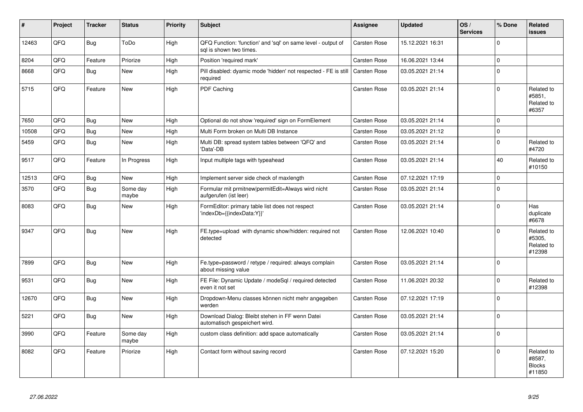| #     | Project | <b>Tracker</b> | <b>Status</b>     | <b>Priority</b> | <b>Subject</b>                                                                          | Assignee            | <b>Updated</b>   | OS/<br><b>Services</b> | % Done      | <b>Related</b><br><b>issues</b>                 |
|-------|---------|----------------|-------------------|-----------------|-----------------------------------------------------------------------------------------|---------------------|------------------|------------------------|-------------|-------------------------------------------------|
| 12463 | QFQ     | <b>Bug</b>     | ToDo              | High            | QFQ Function: 'function' and 'sql' on same level - output of<br>sal is shown two times. | Carsten Rose        | 15.12.2021 16:31 |                        | $\mathbf 0$ |                                                 |
| 8204  | QFQ     | Feature        | Priorize          | High            | Position 'required mark'                                                                | <b>Carsten Rose</b> | 16.06.2021 13:44 |                        | $\mathbf 0$ |                                                 |
| 8668  | QFQ     | <b>Bug</b>     | <b>New</b>        | High            | Pill disabled: dyamic mode 'hidden' not respected - FE is still<br>required             | <b>Carsten Rose</b> | 03.05.2021 21:14 |                        | $\Omega$    |                                                 |
| 5715  | QFQ     | Feature        | <b>New</b>        | High            | PDF Caching                                                                             | <b>Carsten Rose</b> | 03.05.2021 21:14 |                        | $\Omega$    | Related to<br>#5851,<br>Related to<br>#6357     |
| 7650  | QFQ     | <b>Bug</b>     | <b>New</b>        | High            | Optional do not show 'required' sign on FormElement                                     | <b>Carsten Rose</b> | 03.05.2021 21:14 |                        | $\Omega$    |                                                 |
| 10508 | QFQ     | <b>Bug</b>     | New               | High            | Multi Form broken on Multi DB Instance                                                  | <b>Carsten Rose</b> | 03.05.2021 21:12 |                        | $\mathbf 0$ |                                                 |
| 5459  | QFQ     | Bug            | <b>New</b>        | High            | Multi DB: spread system tables between 'QFQ' and<br>'Data'-DB                           | Carsten Rose        | 03.05.2021 21:14 |                        | $\mathbf 0$ | Related to<br>#4720                             |
| 9517  | QFQ     | Feature        | In Progress       | High            | Input multiple tags with typeahead                                                      | Carsten Rose        | 03.05.2021 21:14 |                        | 40          | Related to<br>#10150                            |
| 12513 | QFQ     | <b>Bug</b>     | <b>New</b>        | High            | Implement server side check of maxlength                                                | <b>Carsten Rose</b> | 07.12.2021 17:19 |                        | $\mathbf 0$ |                                                 |
| 3570  | QFQ     | <b>Bug</b>     | Some day<br>maybe | High            | Formular mit prmitnew permitEdit=Always wird nicht<br>aufgerufen (ist leer)             | Carsten Rose        | 03.05.2021 21:14 |                        | $\Omega$    |                                                 |
| 8083  | QFQ     | <b>Bug</b>     | <b>New</b>        | High            | FormEditor: primary table list does not respect<br>'indexDb={{indexData:Y}}'            | <b>Carsten Rose</b> | 03.05.2021 21:14 |                        | $\Omega$    | Has<br>duplicate<br>#6678                       |
| 9347  | QFQ     | Bug            | <b>New</b>        | High            | FE.type=upload with dynamic show/hidden: required not<br>detected                       | Carsten Rose        | 12.06.2021 10:40 |                        | $\mathbf 0$ | Related to<br>#5305,<br>Related to<br>#12398    |
| 7899  | QFQ     | <b>Bug</b>     | <b>New</b>        | High            | Fe.type=password / retype / required: always complain<br>about missing value            | <b>Carsten Rose</b> | 03.05.2021 21:14 |                        | $\Omega$    |                                                 |
| 9531  | QFQ     | <b>Bug</b>     | <b>New</b>        | High            | FE File: Dynamic Update / modeSql / required detected<br>even it not set                | Carsten Rose        | 11.06.2021 20:32 |                        | $\mathbf 0$ | Related to<br>#12398                            |
| 12670 | QFQ     | <b>Bug</b>     | <b>New</b>        | High            | Dropdown-Menu classes können nicht mehr angegeben<br>werden                             | Carsten Rose        | 07.12.2021 17:19 |                        | $\mathbf 0$ |                                                 |
| 5221  | QFQ     | <b>Bug</b>     | <b>New</b>        | High            | Download Dialog: Bleibt stehen in FF wenn Datei<br>automatisch gespeichert wird.        | Carsten Rose        | 03.05.2021 21:14 |                        | $\mathbf 0$ |                                                 |
| 3990  | QFQ     | Feature        | Some day<br>maybe | High            | custom class definition: add space automatically                                        | Carsten Rose        | 03.05.2021 21:14 |                        | $\mathbf 0$ |                                                 |
| 8082  | QFQ     | Feature        | Priorize          | High            | Contact form without saving record                                                      | <b>Carsten Rose</b> | 07.12.2021 15:20 |                        | $\Omega$    | Related to<br>#8587,<br><b>Blocks</b><br>#11850 |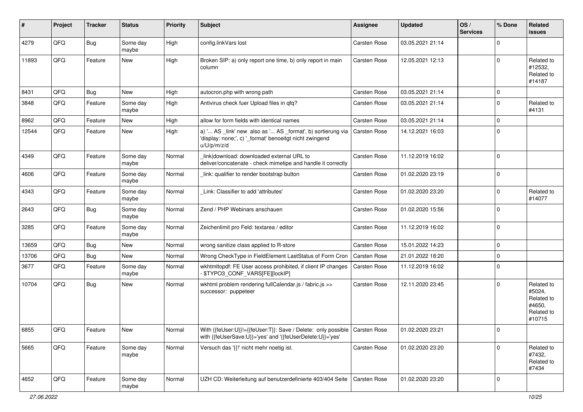| #     | Project | <b>Tracker</b> | <b>Status</b>     | <b>Priority</b> | Subject                                                                                                                                   | Assignee            | <b>Updated</b>   | OS/<br><b>Services</b> | % Done      | Related<br>issues                                                    |
|-------|---------|----------------|-------------------|-----------------|-------------------------------------------------------------------------------------------------------------------------------------------|---------------------|------------------|------------------------|-------------|----------------------------------------------------------------------|
| 4279  | QFQ     | Bug            | Some day<br>maybe | High            | config.linkVars lost                                                                                                                      | Carsten Rose        | 03.05.2021 21:14 |                        | $\Omega$    |                                                                      |
| 11893 | QFQ     | Feature        | New               | High            | Broken SIP: a) only report one time, b) only report in main<br>column                                                                     | <b>Carsten Rose</b> | 12.05.2021 12:13 |                        | $\Omega$    | Related to<br>#12532,<br>Related to<br>#14187                        |
| 8431  | QFQ     | Bug            | <b>New</b>        | High            | autocron.php with wrong path                                                                                                              | <b>Carsten Rose</b> | 03.05.2021 21:14 |                        | $\mathbf 0$ |                                                                      |
| 3848  | QFQ     | Feature        | Some day<br>maybe | High            | Antivirus check fuer Upload files in gfg?                                                                                                 | Carsten Rose        | 03.05.2021 21:14 |                        | $\Omega$    | Related to<br>#4131                                                  |
| 8962  | QFQ     | Feature        | New               | High            | allow for form fields with identical names                                                                                                | <b>Carsten Rose</b> | 03.05.2021 21:14 |                        | $\mathbf 0$ |                                                                      |
| 12544 | QFQ     | Feature        | New               | High            | a) ' AS _link' new also as ' AS _format', b) sortierung via<br>'display: none;', c) '_format' benoeitgt nicht zwingend<br>u/U/p/m/z/d     | <b>Carsten Rose</b> | 14.12.2021 16:03 |                        | $\Omega$    |                                                                      |
| 4349  | QFQ     | Feature        | Some day<br>maybe | Normal          | link download: downloaded external URL to<br>deliver/concatenate - check mimetipe and handle it correctly                                 | Carsten Rose        | 11.12.2019 16:02 |                        | $\Omega$    |                                                                      |
| 4606  | QFQ     | Feature        | Some day<br>maybe | Normal          | link: qualifier to render bootstrap button                                                                                                | Carsten Rose        | 01.02.2020 23:19 |                        | $\mathbf 0$ |                                                                      |
| 4343  | QFQ     | Feature        | Some day<br>maybe | Normal          | Link: Classifier to add 'attributes'                                                                                                      | Carsten Rose        | 01.02.2020 23:20 |                        | $\Omega$    | Related to<br>#14077                                                 |
| 2643  | QFQ     | Bug            | Some day<br>maybe | Normal          | Zend / PHP Webinars anschauen                                                                                                             | Carsten Rose        | 01.02.2020 15:56 |                        | $\mathbf 0$ |                                                                      |
| 3285  | QFQ     | Feature        | Some day<br>maybe | Normal          | Zeichenlimit pro Feld: textarea / editor                                                                                                  | Carsten Rose        | 11.12.2019 16:02 |                        | $\Omega$    |                                                                      |
| 13659 | QFQ     | <b>Bug</b>     | New               | Normal          | wrong sanitize class applied to R-store                                                                                                   | <b>Carsten Rose</b> | 15.01.2022 14:23 |                        | $\mathbf 0$ |                                                                      |
| 13706 | QFQ     | Bug            | New               | Normal          | Wrong CheckType in FieldElement LastStatus of Form Cron                                                                                   | <b>Carsten Rose</b> | 21.01.2022 18:20 |                        | $\Omega$    |                                                                      |
| 3677  | QFQ     | Feature        | Some day<br>maybe | Normal          | wkhtmltopdf: FE User access prohibited, if client IP changes<br>\$TYPO3_CONF_VARS[FE][lockIP]                                             | <b>Carsten Rose</b> | 11.12.2019 16:02 |                        | $\mathbf 0$ |                                                                      |
| 10704 | QFQ     | Bug            | New               | Normal          | wkhtml problem rendering fullCalendar.js / fabric.js >><br>successor: puppeteer                                                           | <b>Carsten Rose</b> | 12.11.2020 23:45 |                        | $\Omega$    | Related to<br>#5024,<br>Related to<br>#4650,<br>Related to<br>#10715 |
| 6855  | QFQ     | Feature        | New               | Normal          | With {{feUser:U}}!={{feUser:T}}: Save / Delete: only possible   Carsten Rose<br>with {{feUserSave:U}}='yes' and '{{feUserDelete:U}}='yes' |                     | 01.02.2020 23:21 |                        | 0           |                                                                      |
| 5665  | QFQ     | Feature        | Some day<br>maybe | Normal          | Versuch das '{{!' nicht mehr noetig ist.                                                                                                  | Carsten Rose        | 01.02.2020 23:20 |                        | $\Omega$    | Related to<br>#7432,<br>Related to<br>#7434                          |
| 4652  | QFQ     | Feature        | Some day<br>maybe | Normal          | UZH CD: Weiterleitung auf benutzerdefinierte 403/404 Seite                                                                                | <b>Carsten Rose</b> | 01.02.2020 23:20 |                        | 0           |                                                                      |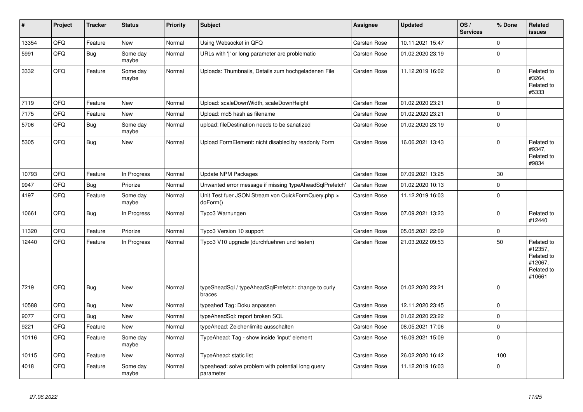| #     | Project | <b>Tracker</b> | <b>Status</b>     | <b>Priority</b> | <b>Subject</b>                                                  | <b>Assignee</b>     | <b>Updated</b>   | OS/<br><b>Services</b> | % Done         | Related<br><b>issues</b>                                               |
|-------|---------|----------------|-------------------|-----------------|-----------------------------------------------------------------|---------------------|------------------|------------------------|----------------|------------------------------------------------------------------------|
| 13354 | QFQ     | Feature        | <b>New</b>        | Normal          | Using Websocket in QFQ                                          | <b>Carsten Rose</b> | 10.11.2021 15:47 |                        | $\Omega$       |                                                                        |
| 5991  | QFQ     | Bug            | Some day<br>maybe | Normal          | URLs with 'I' or long parameter are problematic                 | Carsten Rose        | 01.02.2020 23:19 |                        | $\Omega$       |                                                                        |
| 3332  | QFQ     | Feature        | Some day<br>maybe | Normal          | Uploads: Thumbnails, Details zum hochgeladenen File             | Carsten Rose        | 11.12.2019 16:02 |                        | $\Omega$       | Related to<br>#3264,<br>Related to<br>#5333                            |
| 7119  | QFQ     | Feature        | <b>New</b>        | Normal          | Upload: scaleDownWidth, scaleDownHeight                         | Carsten Rose        | 01.02.2020 23:21 |                        | $\Omega$       |                                                                        |
| 7175  | QFQ     | Feature        | <b>New</b>        | Normal          | Upload: md5 hash as filename                                    | Carsten Rose        | 01.02.2020 23:21 |                        | $\mathbf 0$    |                                                                        |
| 5706  | QFQ     | <b>Bug</b>     | Some day<br>maybe | Normal          | upload: fileDestination needs to be sanatized                   | <b>Carsten Rose</b> | 01.02.2020 23:19 |                        | $\mathbf 0$    |                                                                        |
| 5305  | QFQ     | Bug            | <b>New</b>        | Normal          | Upload FormElement: nicht disabled by readonly Form             | Carsten Rose        | 16.06.2021 13:43 |                        | $\Omega$       | Related to<br>#9347,<br>Related to<br>#9834                            |
| 10793 | QFQ     | Feature        | In Progress       | Normal          | <b>Update NPM Packages</b>                                      | Carsten Rose        | 07.09.2021 13:25 |                        | 30             |                                                                        |
| 9947  | QFQ     | <b>Bug</b>     | Priorize          | Normal          | Unwanted error message if missing 'typeAheadSqlPrefetch'        | <b>Carsten Rose</b> | 01.02.2020 10:13 |                        | $\mathbf 0$    |                                                                        |
| 4197  | QFQ     | Feature        | Some day<br>maybe | Normal          | Unit Test fuer JSON Stream von QuickFormQuery.php ><br>doForm() | Carsten Rose        | 11.12.2019 16:03 |                        | $\mathbf 0$    |                                                                        |
| 10661 | QFQ     | <b>Bug</b>     | In Progress       | Normal          | Typo3 Warnungen                                                 | Carsten Rose        | 07.09.2021 13:23 |                        | $\Omega$       | Related to<br>#12440                                                   |
| 11320 | QFQ     | Feature        | Priorize          | Normal          | Typo3 Version 10 support                                        | Carsten Rose        | 05.05.2021 22:09 |                        | $\Omega$       |                                                                        |
| 12440 | QFQ     | Feature        | In Progress       | Normal          | Typo3 V10 upgrade (durchfuehren und testen)                     | Carsten Rose        | 21.03.2022 09:53 |                        | 50             | Related to<br>#12357,<br>Related to<br>#12067,<br>Related to<br>#10661 |
| 7219  | QFQ     | <b>Bug</b>     | <b>New</b>        | Normal          | typeSheadSql / typeAheadSqlPrefetch: change to curly<br>braces  | Carsten Rose        | 01.02.2020 23:21 |                        | $\overline{0}$ |                                                                        |
| 10588 | QFQ     | Bug            | New               | Normal          | typeahed Tag: Doku anpassen                                     | Carsten Rose        | 12.11.2020 23:45 |                        | $\mathbf 0$    |                                                                        |
| 9077  | QFQ     | <b>Bug</b>     | <b>New</b>        | Normal          | typeAheadSql: report broken SQL                                 | <b>Carsten Rose</b> | 01.02.2020 23:22 |                        | $\mathbf 0$    |                                                                        |
| 9221  | QFQ     | Feature        | <b>New</b>        | Normal          | typeAhead: Zeichenlimite ausschalten                            | Carsten Rose        | 08.05.2021 17:06 |                        | $\Omega$       |                                                                        |
| 10116 | QFQ     | Feature        | Some day<br>maybe | Normal          | TypeAhead: Tag - show inside 'input' element                    | Carsten Rose        | 16.09.2021 15:09 |                        | $\Omega$       |                                                                        |
| 10115 | QFQ     | Feature        | <b>New</b>        | Normal          | TypeAhead: static list                                          | Carsten Rose        | 26.02.2020 16:42 |                        | 100            |                                                                        |
| 4018  | QFQ     | Feature        | Some day<br>maybe | Normal          | typeahead: solve problem with potential long query<br>parameter | Carsten Rose        | 11.12.2019 16:03 |                        | $\Omega$       |                                                                        |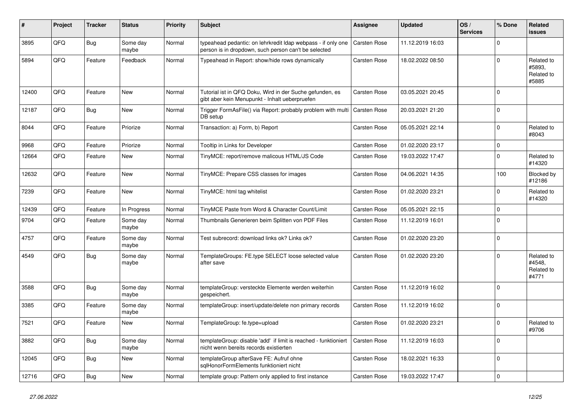| #     | Project | <b>Tracker</b> | <b>Status</b>     | <b>Priority</b> | Subject                                                                                                              | Assignee            | <b>Updated</b>   | OS/<br><b>Services</b> | % Done      | Related<br>issues                           |
|-------|---------|----------------|-------------------|-----------------|----------------------------------------------------------------------------------------------------------------------|---------------------|------------------|------------------------|-------------|---------------------------------------------|
| 3895  | QFQ     | <b>Bug</b>     | Some day<br>maybe | Normal          | typeahead pedantic: on lehrkredit Idap webpass - if only one<br>person is in dropdown, such person can't be selected | <b>Carsten Rose</b> | 11.12.2019 16:03 |                        | $\Omega$    |                                             |
| 5894  | QFQ     | Feature        | Feedback          | Normal          | Typeahead in Report: show/hide rows dynamically                                                                      | Carsten Rose        | 18.02.2022 08:50 |                        | $\Omega$    | Related to<br>#5893.<br>Related to<br>#5885 |
| 12400 | QFQ     | Feature        | <b>New</b>        | Normal          | Tutorial ist in QFQ Doku, Wird in der Suche gefunden, es<br>gibt aber kein Menupunkt - Inhalt ueberpruefen           | <b>Carsten Rose</b> | 03.05.2021 20:45 |                        | $\Omega$    |                                             |
| 12187 | QFQ     | <b>Bug</b>     | <b>New</b>        | Normal          | Trigger FormAsFile() via Report: probably problem with multi<br>DB setup                                             | <b>Carsten Rose</b> | 20.03.2021 21:20 |                        | $\Omega$    |                                             |
| 8044  | QFQ     | Feature        | Priorize          | Normal          | Transaction: a) Form, b) Report                                                                                      | Carsten Rose        | 05.05.2021 22:14 |                        | $\Omega$    | Related to<br>#8043                         |
| 9968  | QFQ     | Feature        | Priorize          | Normal          | Tooltip in Links for Developer                                                                                       | Carsten Rose        | 01.02.2020 23:17 |                        | $\mathbf 0$ |                                             |
| 12664 | QFQ     | Feature        | New               | Normal          | TinyMCE: report/remove malicous HTML/JS Code                                                                         | Carsten Rose        | 19.03.2022 17:47 |                        | $\Omega$    | Related to<br>#14320                        |
| 12632 | QFQ     | Feature        | <b>New</b>        | Normal          | TinyMCE: Prepare CSS classes for images                                                                              | <b>Carsten Rose</b> | 04.06.2021 14:35 |                        | 100         | Blocked by<br>#12186                        |
| 7239  | QFQ     | Feature        | <b>New</b>        | Normal          | TinyMCE: html tag whitelist                                                                                          | Carsten Rose        | 01.02.2020 23:21 |                        | $\Omega$    | Related to<br>#14320                        |
| 12439 | QFQ     | Feature        | In Progress       | Normal          | TinyMCE Paste from Word & Character Count/Limit                                                                      | Carsten Rose        | 05.05.2021 22:15 |                        | $\Omega$    |                                             |
| 9704  | QFQ     | Feature        | Some day<br>maybe | Normal          | Thumbnails Generieren beim Splitten von PDF Files                                                                    | Carsten Rose        | 11.12.2019 16:01 |                        | $\Omega$    |                                             |
| 4757  | QFQ     | Feature        | Some day<br>maybe | Normal          | Test subrecord: download links ok? Links ok?                                                                         | Carsten Rose        | 01.02.2020 23:20 |                        | $\mathbf 0$ |                                             |
| 4549  | QFQ     | <b>Bug</b>     | Some day<br>maybe | Normal          | TemplateGroups: FE.type SELECT loose selected value<br>after save                                                    | Carsten Rose        | 01.02.2020 23:20 |                        | $\Omega$    | Related to<br>#4548,<br>Related to<br>#4771 |
| 3588  | QFQ     | <b>Bug</b>     | Some day<br>maybe | Normal          | templateGroup: versteckte Elemente werden weiterhin<br>gespeichert.                                                  | Carsten Rose        | 11.12.2019 16:02 |                        | $\Omega$    |                                             |
| 3385  | QFQ     | Feature        | Some day<br>maybe | Normal          | templateGroup: insert/update/delete non primary records                                                              | Carsten Rose        | 11.12.2019 16:02 |                        | $\mathbf 0$ |                                             |
| 7521  | QFQ     | Feature        | <b>New</b>        | Normal          | TemplateGroup: fe.type=upload                                                                                        | <b>Carsten Rose</b> | 01.02.2020 23:21 |                        | $\Omega$    | Related to<br>#9706                         |
| 3882  | QFQ     | Bug            | Some day<br>maybe | Normal          | templateGroup: disable 'add' if limit is reached - funktioniert<br>nicht wenn bereits records existierten            | <b>Carsten Rose</b> | 11.12.2019 16:03 |                        | $\mathbf 0$ |                                             |
| 12045 | QFQ     | <b>Bug</b>     | New               | Normal          | templateGroup afterSave FE: Aufruf ohne<br>sqlHonorFormElements funktioniert nicht                                   | Carsten Rose        | 18.02.2021 16:33 |                        | 0           |                                             |
| 12716 | QFQ     | <b>Bug</b>     | New               | Normal          | template group: Pattern only applied to first instance                                                               | Carsten Rose        | 19.03.2022 17:47 |                        | $\mathbf 0$ |                                             |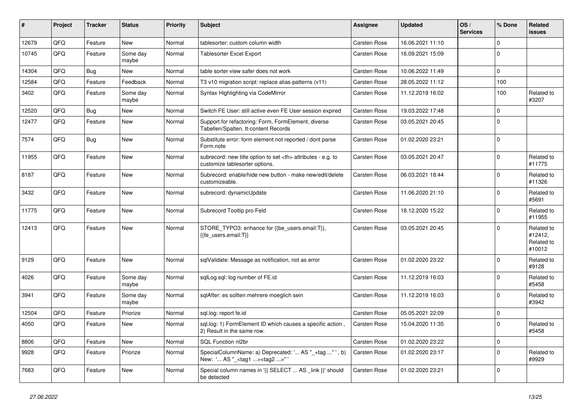| #     | Project | <b>Tracker</b> | <b>Status</b>     | <b>Priority</b> | Subject                                                                                              | <b>Assignee</b>                                        | <b>Updated</b>   | OS/<br><b>Services</b> | % Done         | Related<br>issues                             |                      |
|-------|---------|----------------|-------------------|-----------------|------------------------------------------------------------------------------------------------------|--------------------------------------------------------|------------------|------------------------|----------------|-----------------------------------------------|----------------------|
| 12679 | QFQ     | Feature        | <b>New</b>        | Normal          | tablesorter: custom column width                                                                     | Carsten Rose                                           | 16.06.2021 11:10 |                        | $\mathbf 0$    |                                               |                      |
| 10745 | QFQ     | Feature        | Some day<br>maybe | Normal          | <b>Tablesorter Excel Export</b>                                                                      | Carsten Rose                                           | 16.09.2021 15:09 |                        | $\Omega$       |                                               |                      |
| 14304 | QFQ     | Bug            | New               | Normal          | table sorter view safer does not work                                                                | Carsten Rose                                           | 10.06.2022 11:49 |                        | $\mathbf 0$    |                                               |                      |
| 12584 | QFQ     | Feature        | Feedback          | Normal          | T3 v10 migration script: replace alias-patterns (v11)                                                | Carsten Rose                                           | 28.05.2022 11:12 |                        | 100            |                                               |                      |
| 3402  | QFQ     | Feature        | Some day<br>maybe | Normal          | Syntax Highlighting via CodeMirror                                                                   | Carsten Rose                                           | 11.12.2019 16:02 |                        | 100            | Related to<br>#3207                           |                      |
| 12520 | QFQ     | Bug            | New               | Normal          | Switch FE User: still active even FE User session expired                                            | Carsten Rose                                           | 19.03.2022 17:48 |                        | $\Omega$       |                                               |                      |
| 12477 | QFQ     | Feature        | New               | Normal          | Support for refactoring: Form, FormElement, diverse<br>Tabellen/Spalten, tt-content Records          | Carsten Rose                                           | 03.05.2021 20:45 |                        | $\mathbf 0$    |                                               |                      |
| 7574  | QFQ     | Bug            | <b>New</b>        | Normal          | Substitute error: form element not reported / dont parse<br>Form.note                                | Carsten Rose                                           | 01.02.2020 23:21 |                        | $\mathbf 0$    |                                               |                      |
| 11955 | QFQ     | Feature        | New               | Normal          | subrecord: new title option to set <th> attributes - e.g. to<br/>customize tablesorter options.</th> | attributes - e.g. to<br>customize tablesorter options. | Carsten Rose     | 03.05.2021 20:47       |                | $\Omega$                                      | Related to<br>#11775 |
| 8187  | QFQ     | Feature        | New               | Normal          | Subrecord: enable/hide new button - make new/edit/delete<br>customizeable.                           | Carsten Rose                                           | 06.03.2021 18:44 |                        | $\mathbf 0$    | Related to<br>#11326                          |                      |
| 3432  | QFQ     | Feature        | New               | Normal          | subrecord: dynamicUpdate                                                                             | Carsten Rose                                           | 11.06.2020 21:10 |                        | $\mathbf 0$    | Related to<br>#5691                           |                      |
| 11775 | QFQ     | Feature        | New               | Normal          | Subrecord Tooltip pro Feld                                                                           | Carsten Rose                                           | 18.12.2020 15:22 |                        | $\Omega$       | Related to<br>#11955                          |                      |
| 12413 | QFQ     | Feature        | New               | Normal          | STORE_TYPO3: enhance for {{be_users.email:T}},<br>{{fe users.email:T}}                               | <b>Carsten Rose</b>                                    | 03.05.2021 20:45 |                        | $\mathbf 0$    | Related to<br>#12412,<br>Related to<br>#10012 |                      |
| 9129  | QFQ     | Feature        | New               | Normal          | sqlValidate: Message as notification, not as error                                                   | Carsten Rose                                           | 01.02.2020 23:22 |                        | $\mathbf 0$    | Related to<br>#9128                           |                      |
| 4026  | QFQ     | Feature        | Some day<br>maybe | Normal          | sqlLog.sql: log number of FE.id                                                                      | <b>Carsten Rose</b>                                    | 11.12.2019 16:03 |                        | $\Omega$       | Related to<br>#5458                           |                      |
| 3941  | QFQ     | Feature        | Some day<br>maybe | Normal          | sqlAfter: es sollten mehrere moeglich sein                                                           | <b>Carsten Rose</b>                                    | 11.12.2019 16:03 |                        | $\Omega$       | Related to<br>#3942                           |                      |
| 12504 | QFQ     | Feature        | Priorize          | Normal          | sql.log: report fe.id                                                                                | Carsten Rose                                           | 05.05.2021 22:09 |                        | 0              |                                               |                      |
| 4050  | QFQ     | Feature        | <b>New</b>        | Normal          | sql.log: 1) FormElement ID which causes a specific action,<br>2) Result in the same row.             | <b>Carsten Rose</b>                                    | 15.04.2020 11:35 |                        | $\mathbf 0$    | Related to<br>#5458                           |                      |
| 8806  | QFQ     | Feature        | New               | Normal          | SQL Function nl2br                                                                                   | Carsten Rose                                           | 01.02.2020 23:22 |                        | $\overline{0}$ |                                               |                      |
| 9928  | QFQ     | Feature        | Priorize          | Normal          | SpecialColumnName: a) Deprecated: ' AS "_+tag " ', b)<br>New: ' AS "_ <tag1><tag2>"'</tag2></tag1>   | Carsten Rose                                           | 01.02.2020 23:17 |                        | 0              | Related to<br>#9929                           |                      |
| 7683  | QFQ     | Feature        | New               | Normal          | Special column names in '{{ SELECT  AS _link }}' should<br>be detected                               | Carsten Rose                                           | 01.02.2020 23:21 |                        | 0              |                                               |                      |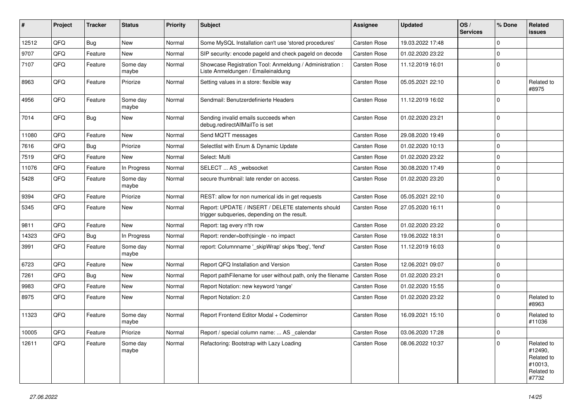| ∦     | Project | <b>Tracker</b> | <b>Status</b>     | <b>Priority</b> | <b>Subject</b>                                                                                     | <b>Assignee</b>     | <b>Updated</b>   | OS/<br><b>Services</b> | % Done      | Related<br>issues                                                     |
|-------|---------|----------------|-------------------|-----------------|----------------------------------------------------------------------------------------------------|---------------------|------------------|------------------------|-------------|-----------------------------------------------------------------------|
| 12512 | QFQ     | <b>Bug</b>     | <b>New</b>        | Normal          | Some MySQL Installation can't use 'stored procedures'                                              | Carsten Rose        | 19.03.2022 17:48 |                        | $\Omega$    |                                                                       |
| 9707  | QFQ     | Feature        | New               | Normal          | SIP security: encode pageld and check pageld on decode                                             | Carsten Rose        | 01.02.2020 23:22 |                        | $\mathbf 0$ |                                                                       |
| 7107  | QFQ     | Feature        | Some day<br>maybe | Normal          | Showcase Registration Tool: Anmeldung / Administration :<br>Liste Anmeldungen / Emaileinaldung     | Carsten Rose        | 11.12.2019 16:01 |                        | $\Omega$    |                                                                       |
| 8963  | QFQ     | Feature        | Priorize          | Normal          | Setting values in a store: flexible way                                                            | Carsten Rose        | 05.05.2021 22:10 |                        | $\Omega$    | Related to<br>#8975                                                   |
| 4956  | QFQ     | Feature        | Some day<br>maybe | Normal          | Sendmail: Benutzerdefinierte Headers                                                               | Carsten Rose        | 11.12.2019 16:02 |                        | $\mathbf 0$ |                                                                       |
| 7014  | QFQ     | Bug            | New               | Normal          | Sending invalid emails succeeds when<br>debug.redirectAllMailTo is set                             | <b>Carsten Rose</b> | 01.02.2020 23:21 |                        | 0           |                                                                       |
| 11080 | QFQ     | Feature        | New               | Normal          | Send MQTT messages                                                                                 | <b>Carsten Rose</b> | 29.08.2020 19:49 |                        | $\mathbf 0$ |                                                                       |
| 7616  | QFQ     | <b>Bug</b>     | Priorize          | Normal          | Selectlist with Enum & Dynamic Update                                                              | <b>Carsten Rose</b> | 01.02.2020 10:13 |                        | $\mathbf 0$ |                                                                       |
| 7519  | QFQ     | Feature        | <b>New</b>        | Normal          | Select: Multi                                                                                      | <b>Carsten Rose</b> | 01.02.2020 23:22 |                        | $\mathbf 0$ |                                                                       |
| 11076 | QFQ     | Feature        | In Progress       | Normal          | SELECT  AS _websocket                                                                              | Carsten Rose        | 30.08.2020 17:49 |                        | $\mathbf 0$ |                                                                       |
| 5428  | QFQ     | Feature        | Some day<br>maybe | Normal          | secure thumbnail: late render on access.                                                           | <b>Carsten Rose</b> | 01.02.2020 23:20 |                        | $\Omega$    |                                                                       |
| 9394  | QFQ     | Feature        | Priorize          | Normal          | REST: allow for non numerical ids in get requests                                                  | <b>Carsten Rose</b> | 05.05.2021 22:10 |                        | $\mathbf 0$ |                                                                       |
| 5345  | QFQ     | Feature        | New               | Normal          | Report: UPDATE / INSERT / DELETE statements should<br>trigger subqueries, depending on the result. | Carsten Rose        | 27.05.2020 16:11 |                        | $\mathbf 0$ |                                                                       |
| 9811  | QFQ     | Feature        | <b>New</b>        | Normal          | Report: tag every n'th row                                                                         | <b>Carsten Rose</b> | 01.02.2020 23:22 |                        | $\mathbf 0$ |                                                                       |
| 14323 | QFQ     | Bug            | In Progress       | Normal          | Report: render=both single - no impact                                                             | <b>Carsten Rose</b> | 19.06.2022 18:31 |                        | $\Omega$    |                                                                       |
| 3991  | QFQ     | Feature        | Some day<br>maybe | Normal          | report: Columnname ' skipWrap' skips 'fbeg', 'fend'                                                | Carsten Rose        | 11.12.2019 16:03 |                        | $\mathbf 0$ |                                                                       |
| 6723  | QFQ     | Feature        | New               | Normal          | Report QFQ Installation and Version                                                                | Carsten Rose        | 12.06.2021 09:07 |                        | $\Omega$    |                                                                       |
| 7261  | QFQ     | Bug            | <b>New</b>        | Normal          | Report pathFilename for user without path, only the filename                                       | Carsten Rose        | 01.02.2020 23:21 |                        | $\Omega$    |                                                                       |
| 9983  | QFQ     | Feature        | <b>New</b>        | Normal          | Report Notation: new keyword 'range'                                                               | <b>Carsten Rose</b> | 01.02.2020 15:55 |                        | 0           |                                                                       |
| 8975  | QFQ     | Feature        | New               | Normal          | Report Notation: 2.0                                                                               | Carsten Rose        | 01.02.2020 23:22 |                        | $\Omega$    | Related to<br>#8963                                                   |
| 11323 | QFQ     | Feature        | Some day<br>maybe | Normal          | Report Frontend Editor Modal + Codemirror                                                          | Carsten Rose        | 16.09.2021 15:10 |                        | $\Omega$    | Related to<br>#11036                                                  |
| 10005 | QFQ     | Feature        | Priorize          | Normal          | Report / special column name:  AS _calendar                                                        | Carsten Rose        | 03.06.2020 17:28 |                        | 0           |                                                                       |
| 12611 | QFQ     | Feature        | Some day<br>maybe | Normal          | Refactoring: Bootstrap with Lazy Loading                                                           | Carsten Rose        | 08.06.2022 10:37 |                        | $\Omega$    | Related to<br>#12490,<br>Related to<br>#10013,<br>Related to<br>#7732 |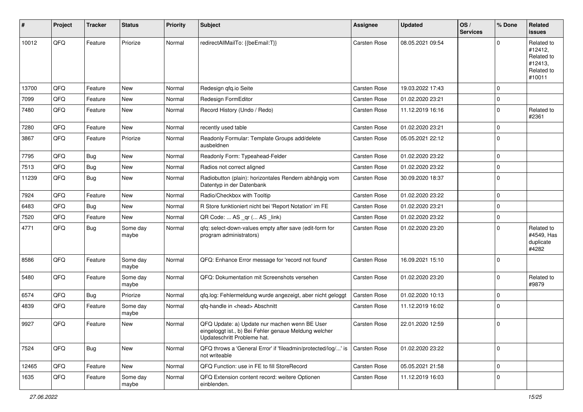| #     | Project | <b>Tracker</b> | <b>Status</b>     | <b>Priority</b> | <b>Subject</b>                                                                                                                        | <b>Assignee</b>     | <b>Updated</b>   | OS/<br><b>Services</b> | % Done      | Related<br>issues                                                      |
|-------|---------|----------------|-------------------|-----------------|---------------------------------------------------------------------------------------------------------------------------------------|---------------------|------------------|------------------------|-------------|------------------------------------------------------------------------|
| 10012 | QFQ     | Feature        | Priorize          | Normal          | redirectAllMailTo: {{beEmail:T}}                                                                                                      | <b>Carsten Rose</b> | 08.05.2021 09:54 |                        | $\Omega$    | Related to<br>#12412,<br>Related to<br>#12413,<br>Related to<br>#10011 |
| 13700 | QFQ     | Feature        | <b>New</b>        | Normal          | Redesign qfq.io Seite                                                                                                                 | <b>Carsten Rose</b> | 19.03.2022 17:43 |                        | $\mathbf 0$ |                                                                        |
| 7099  | QFQ     | Feature        | New               | Normal          | Redesign FormEditor                                                                                                                   | Carsten Rose        | 01.02.2020 23:21 |                        | $\Omega$    |                                                                        |
| 7480  | QFQ     | Feature        | New               | Normal          | Record History (Undo / Redo)                                                                                                          | Carsten Rose        | 11.12.2019 16:16 |                        | $\mathbf 0$ | Related to<br>#2361                                                    |
| 7280  | QFQ     | Feature        | <b>New</b>        | Normal          | recently used table                                                                                                                   | Carsten Rose        | 01.02.2020 23:21 |                        | $\Omega$    |                                                                        |
| 3867  | QFQ     | Feature        | Priorize          | Normal          | Readonly Formular: Template Groups add/delete<br>ausbeldnen                                                                           | Carsten Rose        | 05.05.2021 22:12 |                        | $\Omega$    |                                                                        |
| 7795  | QFQ     | Bug            | <b>New</b>        | Normal          | Readonly Form: Typeahead-Felder                                                                                                       | Carsten Rose        | 01.02.2020 23:22 |                        | $\mathbf 0$ |                                                                        |
| 7513  | QFQ     | <b>Bug</b>     | <b>New</b>        | Normal          | Radios not correct aligned                                                                                                            | Carsten Rose        | 01.02.2020 23:22 |                        | $\mathbf 0$ |                                                                        |
| 11239 | QFQ     | <b>Bug</b>     | <b>New</b>        | Normal          | Radiobutton (plain): horizontales Rendern abhängig vom<br>Datentyp in der Datenbank                                                   | Carsten Rose        | 30.09.2020 18:37 |                        | $\Omega$    |                                                                        |
| 7924  | QFQ     | Feature        | <b>New</b>        | Normal          | Radio/Checkbox with Tooltip                                                                                                           | <b>Carsten Rose</b> | 01.02.2020 23:22 |                        | $\mathbf 0$ |                                                                        |
| 6483  | QFQ     | Bug            | New               | Normal          | R Store funktioniert nicht bei 'Report Notation' im FE                                                                                | Carsten Rose        | 01.02.2020 23:21 |                        | $\mathbf 0$ |                                                                        |
| 7520  | QFQ     | Feature        | New               | Normal          | QR Code:  AS _qr ( AS _link)                                                                                                          | Carsten Rose        | 01.02.2020 23:22 |                        | $\mathbf 0$ |                                                                        |
| 4771  | QFQ     | Bug            | Some day<br>maybe | Normal          | qfq: select-down-values empty after save (edit-form for<br>program administrators)                                                    | Carsten Rose        | 01.02.2020 23:20 |                        | $\Omega$    | Related to<br>#4549, Has<br>duplicate<br>#4282                         |
| 8586  | QFQ     | Feature        | Some day<br>maybe | Normal          | QFQ: Enhance Error message for 'record not found'                                                                                     | <b>Carsten Rose</b> | 16.09.2021 15:10 |                        | $\mathbf 0$ |                                                                        |
| 5480  | QFQ     | Feature        | Some day<br>maybe | Normal          | QFQ: Dokumentation mit Screenshots versehen                                                                                           | Carsten Rose        | 01.02.2020 23:20 |                        | $\Omega$    | Related to<br>#9879                                                    |
| 6574  | QFQ     | Bug            | Priorize          | Normal          | qfq.log: Fehlermeldung wurde angezeigt, aber nicht geloggt                                                                            | <b>Carsten Rose</b> | 01.02.2020 10:13 |                        | $\mathbf 0$ |                                                                        |
| 4839  | QFQ     | Feature        | Some day<br>maybe | Normal          | qfq-handle in <head> Abschnitt</head>                                                                                                 | Carsten Rose        | 11.12.2019 16:02 |                        | $\Omega$    |                                                                        |
| 9927  | QFQ     | Feature        | New               | Normal          | QFQ Update: a) Update nur machen wenn BE User<br>eingeloggt ist., b) Bei Fehler genaue Meldung welcher<br>Updateschritt Probleme hat. | <b>Carsten Rose</b> | 22.01.2020 12:59 |                        | 0           |                                                                        |
| 7524  | QFQ     | <b>Bug</b>     | New               | Normal          | QFQ throws a 'General Error' if 'fileadmin/protected/log/' is<br>not writeable                                                        | Carsten Rose        | 01.02.2020 23:22 |                        | 0           |                                                                        |
| 12465 | QFQ     | Feature        | New               | Normal          | QFQ Function: use in FE to fill StoreRecord                                                                                           | Carsten Rose        | 05.05.2021 21:58 |                        | 0           |                                                                        |
| 1635  | QFQ     | Feature        | Some day<br>maybe | Normal          | QFQ Extension content record: weitere Optionen<br>einblenden.                                                                         | Carsten Rose        | 11.12.2019 16:03 |                        | $\mathbf 0$ |                                                                        |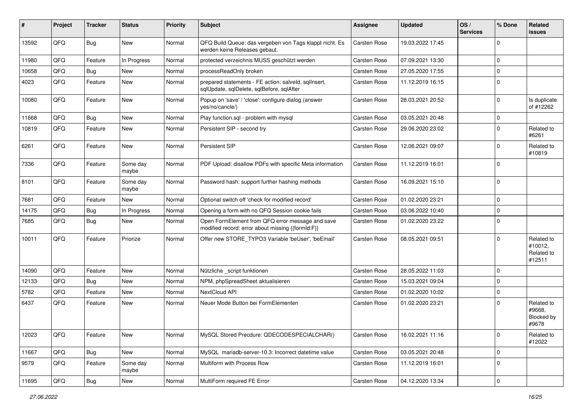| #     | Project | <b>Tracker</b> | <b>Status</b>     | <b>Priority</b> | Subject                                                                                               | Assignee            | <b>Updated</b>   | OS/<br><b>Services</b> | % Done                  | Related<br><b>issues</b>                      |
|-------|---------|----------------|-------------------|-----------------|-------------------------------------------------------------------------------------------------------|---------------------|------------------|------------------------|-------------------------|-----------------------------------------------|
| 13592 | QFQ     | <b>Bug</b>     | New               | Normal          | QFQ Build Queue: das vergeben von Tags klappt nicht. Es<br>werden keine Releases gebaut.              | Carsten Rose        | 19.03.2022 17:45 |                        | $\Omega$                |                                               |
| 11980 | QFQ     | Feature        | In Progress       | Normal          | protected verzeichnis MUSS geschützt werden                                                           | Carsten Rose        | 07.09.2021 13:30 |                        | $\Omega$                |                                               |
| 10658 | QFQ     | Bug            | New               | Normal          | processReadOnly broken                                                                                | Carsten Rose        | 27.05.2020 17:55 |                        | $\overline{\mathbf{0}}$ |                                               |
| 4023  | QFQ     | Feature        | New               | Normal          | prepared statements - FE action: salveld, sqlInsert,<br>sqlUpdate, sqlDelete, sqlBefore, sqlAfter     | Carsten Rose        | 11.12.2019 16:15 |                        | $\Omega$                |                                               |
| 10080 | QFQ     | Feature        | New               | Normal          | Popup on 'save' / 'close': configure dialog (answer<br>yes/no/cancle/)                                | Carsten Rose        | 28.03.2021 20:52 |                        | $\Omega$                | Is duplicate<br>of #12262                     |
| 11668 | QFQ     | <b>Bug</b>     | <b>New</b>        | Normal          | Play function.sql - problem with mysql                                                                | Carsten Rose        | 03.05.2021 20:48 |                        | $\mathbf 0$             |                                               |
| 10819 | QFQ     | Feature        | New               | Normal          | Persistent SIP - second try                                                                           | Carsten Rose        | 29.06.2020 23:02 |                        | $\mathbf 0$             | Related to<br>#6261                           |
| 6261  | QFQ     | Feature        | New               | Normal          | Persistent SIP                                                                                        | Carsten Rose        | 12.06.2021 09:07 |                        | $\Omega$                | Related to<br>#10819                          |
| 7336  | QFQ     | Feature        | Some day<br>maybe | Normal          | PDF Upload: disallow PDFs with specific Meta information                                              | Carsten Rose        | 11.12.2019 16:01 |                        | $\Omega$                |                                               |
| 8101  | QFQ     | Feature        | Some day<br>maybe | Normal          | Password hash: support further hashing methods                                                        | Carsten Rose        | 16.09.2021 15:10 |                        | $\Omega$                |                                               |
| 7681  | QFQ     | Feature        | <b>New</b>        | Normal          | Optional switch off 'check for modified record'                                                       | Carsten Rose        | 01.02.2020 23:21 |                        | $\mathbf 0$             |                                               |
| 14175 | QFQ     | Bug            | In Progress       | Normal          | Opening a form with no QFQ Session cookie fails                                                       | Carsten Rose        | 03.06.2022 10:40 |                        | $\Omega$                |                                               |
| 7685  | QFQ     | Bug            | <b>New</b>        | Normal          | Open FormElement from QFQ error message and save<br>modified record: error about missing {{formId:F}} | <b>Carsten Rose</b> | 01.02.2020 23:22 |                        | $\Omega$                |                                               |
| 10011 | QFQ     | Feature        | Priorize          | Normal          | Offer new STORE TYPO3 Variable 'beUser', 'beEmail'                                                    | Carsten Rose        | 08.05.2021 09:51 |                        | $\Omega$                | Related to<br>#10012,<br>Related to<br>#12511 |
| 14090 | QFQ     | Feature        | <b>New</b>        | Normal          | Nützliche _script funktionen                                                                          | Carsten Rose        | 28.05.2022 11:03 |                        | $\mathbf 0$             |                                               |
| 12133 | QFQ     | Bug            | <b>New</b>        | Normal          | NPM, phpSpreadSheet aktualisieren                                                                     | <b>Carsten Rose</b> | 15.03.2021 09:04 |                        | $\Omega$                |                                               |
| 5782  | QFQ     | Feature        | New               | Normal          | NextCloud API                                                                                         | <b>Carsten Rose</b> | 01.02.2020 10:02 |                        | $\mathbf 0$             |                                               |
| 6437  | QFQ     | Feature        | New               | Normal          | Neuer Mode Button bei FormElementen                                                                   | <b>Carsten Rose</b> | 01.02.2020 23:21 |                        | $\Omega$                | Related to<br>#9668,<br>Blocked by<br>#9678   |
| 12023 | QFQ     | Feature        | New               | Normal          | MySQL Stored Precdure: QDECODESPECIALCHAR()                                                           | Carsten Rose        | 16.02.2021 11:16 |                        | 0                       | Related to<br>#12022                          |
| 11667 | QFQ     | Bug            | New               | Normal          | MySQL mariadb-server-10.3: Incorrect datetime value                                                   | Carsten Rose        | 03.05.2021 20:48 |                        | 0                       |                                               |
| 9579  | QFQ     | Feature        | Some day<br>maybe | Normal          | Multiform with Process Row                                                                            | Carsten Rose        | 11.12.2019 16:01 |                        | $\mathbf 0$             |                                               |
| 11695 | QFG     | <b>Bug</b>     | New               | Normal          | MultiForm required FE Error                                                                           | Carsten Rose        | 04.12.2020 13:34 |                        | $\overline{0}$          |                                               |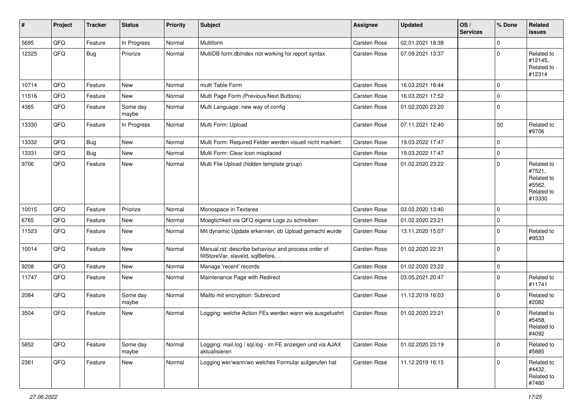| #     | Project | <b>Tracker</b> | <b>Status</b>     | <b>Priority</b> | <b>Subject</b>                                                                           | <b>Assignee</b>     | <b>Updated</b>   | OS/<br><b>Services</b> | % Done      | Related<br>issues                                                    |
|-------|---------|----------------|-------------------|-----------------|------------------------------------------------------------------------------------------|---------------------|------------------|------------------------|-------------|----------------------------------------------------------------------|
| 5695  | QFQ     | Feature        | In Progress       | Normal          | Multiform                                                                                | Carsten Rose        | 02.01.2021 18:38 |                        | $\mathbf 0$ |                                                                      |
| 12325 | QFQ     | <b>Bug</b>     | Priorize          | Normal          | MultiDB form.dblndex not working for report syntax                                       | Carsten Rose        | 07.09.2021 13:37 |                        | $\mathbf 0$ | Related to<br>#12145,<br>Related to<br>#12314                        |
| 10714 | QFQ     | Feature        | <b>New</b>        | Normal          | multi Table Form                                                                         | Carsten Rose        | 16.03.2021 18:44 |                        | $\mathbf 0$ |                                                                      |
| 11516 | QFQ     | Feature        | New               | Normal          | Multi Page Form (Previous/Next Buttons)                                                  | Carsten Rose        | 16.03.2021 17:52 |                        | $\mathbf 0$ |                                                                      |
| 4365  | QFQ     | Feature        | Some day<br>maybe | Normal          | Multi Language: new way of config                                                        | Carsten Rose        | 01.02.2020 23:20 |                        | $\mathbf 0$ |                                                                      |
| 13330 | QFQ     | Feature        | In Progress       | Normal          | Multi Form: Upload                                                                       | Carsten Rose        | 07.11.2021 12:40 |                        | 50          | Related to<br>#9706                                                  |
| 13332 | QFQ     | <b>Bug</b>     | New               | Normal          | Multi Form: Required Felder werden visuell nicht markiert.                               | <b>Carsten Rose</b> | 19.03.2022 17:47 |                        | $\mathbf 0$ |                                                                      |
| 13331 | QFQ     | <b>Bug</b>     | <b>New</b>        | Normal          | Multi Form: Clear Icon misplaced                                                         | Carsten Rose        | 19.03.2022 17:47 |                        | $\mathbf 0$ |                                                                      |
| 9706  | QFQ     | Feature        | New               | Normal          | Multi File Upload (hidden template group)                                                | Carsten Rose        | 01.02.2020 23:22 |                        | $\mathbf 0$ | Related to<br>#7521,<br>Related to<br>#5562,<br>Related to<br>#13330 |
| 10015 | QFQ     | Feature        | Priorize          | Normal          | Monospace in Textarea                                                                    | <b>Carsten Rose</b> | 03.02.2020 13:40 |                        | $\mathbf 0$ |                                                                      |
| 6765  | QFQ     | Feature        | <b>New</b>        | Normal          | Moeglichkeit via QFQ eigene Logs zu schreiben                                            | <b>Carsten Rose</b> | 01.02.2020 23:21 |                        | 0           |                                                                      |
| 11523 | QFQ     | Feature        | <b>New</b>        | Normal          | Mit dynamic Update erkennen, ob Upload gemacht wurde                                     | Carsten Rose        | 13.11.2020 15:07 |                        | $\Omega$    | Related to<br>#9533                                                  |
| 10014 | QFQ     | Feature        | <b>New</b>        | Normal          | Manual.rst: describe behaviour and process order of<br>fillStoreVar, slaveId, sqlBefore, | Carsten Rose        | 01.02.2020 22:31 |                        | $\mathbf 0$ |                                                                      |
| 9208  | QFQ     | Feature        | <b>New</b>        | Normal          | Manage 'recent' records                                                                  | <b>Carsten Rose</b> | 01.02.2020 23:22 |                        | 0           |                                                                      |
| 11747 | QFQ     | Feature        | <b>New</b>        | Normal          | Maintenance Page with Redirect                                                           | Carsten Rose        | 03.05.2021 20:47 |                        | $\mathbf 0$ | Related to<br>#11741                                                 |
| 2084  | QFQ     | Feature        | Some day<br>maybe | Normal          | Mailto mit encryption: Subrecord                                                         | <b>Carsten Rose</b> | 11.12.2019 16:03 |                        | $\Omega$    | Related to<br>#2082                                                  |
| 3504  | QFQ     | Feature        | New               | Normal          | Logging: welche Action FEs werden wann wie ausgefuehrt                                   | <b>Carsten Rose</b> | 01.02.2020 23:21 |                        | $\mathbf 0$ | Related to<br>#5458,<br>Related to<br>#4092                          |
| 5852  | QFQ     | Feature        | Some day<br>maybe | Normal          | Logging: mail.log / sql.log - im FE anzeigen und via AJAX<br>aktualisieren               | Carsten Rose        | 01.02.2020 23:19 |                        | $\mathbf 0$ | Related to<br>#5885                                                  |
| 2361  | QFQ     | Feature        | New               | Normal          | Logging wer/wann/wo welches Formular aufgerufen hat                                      | Carsten Rose        | 11.12.2019 16:15 |                        | $\mathbf 0$ | Related to<br>#4432,<br>Related to<br>#7480                          |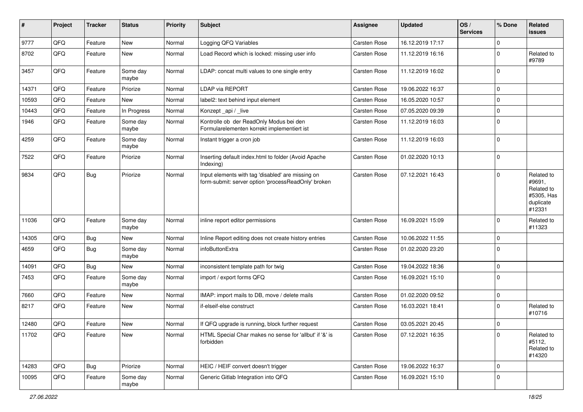| $\pmb{\#}$ | Project | <b>Tracker</b> | <b>Status</b>     | <b>Priority</b> | <b>Subject</b>                                                                                           | <b>Assignee</b> | <b>Updated</b>   | OS/<br><b>Services</b> | % Done      | Related<br>issues                                                       |
|------------|---------|----------------|-------------------|-----------------|----------------------------------------------------------------------------------------------------------|-----------------|------------------|------------------------|-------------|-------------------------------------------------------------------------|
| 9777       | QFQ     | Feature        | <b>New</b>        | Normal          | Logging QFQ Variables                                                                                    | Carsten Rose    | 16.12.2019 17:17 |                        | $\mathbf 0$ |                                                                         |
| 8702       | QFQ     | Feature        | New               | Normal          | Load Record which is locked: missing user info                                                           | Carsten Rose    | 11.12.2019 16:16 |                        | 0           | Related to<br>#9789                                                     |
| 3457       | QFQ     | Feature        | Some day<br>maybe | Normal          | LDAP: concat multi values to one single entry                                                            | Carsten Rose    | 11.12.2019 16:02 |                        | $\mathbf 0$ |                                                                         |
| 14371      | QFQ     | Feature        | Priorize          | Normal          | <b>LDAP via REPORT</b>                                                                                   | Carsten Rose    | 19.06.2022 16:37 |                        | $\mathbf 0$ |                                                                         |
| 10593      | QFQ     | Feature        | New               | Normal          | label2: text behind input element                                                                        | Carsten Rose    | 16.05.2020 10:57 |                        | $\mathbf 0$ |                                                                         |
| 10443      | QFQ     | Feature        | In Progress       | Normal          | Konzept_api / _live                                                                                      | Carsten Rose    | 07.05.2020 09:39 |                        | $\mathbf 0$ |                                                                         |
| 1946       | QFQ     | Feature        | Some day<br>maybe | Normal          | Kontrolle ob der ReadOnly Modus bei den<br>Formularelementen korrekt implementiert ist                   | Carsten Rose    | 11.12.2019 16:03 |                        | $\Omega$    |                                                                         |
| 4259       | QFQ     | Feature        | Some day<br>maybe | Normal          | Instant trigger a cron job                                                                               | Carsten Rose    | 11.12.2019 16:03 |                        | $\mathbf 0$ |                                                                         |
| 7522       | QFQ     | Feature        | Priorize          | Normal          | Inserting default index.html to folder (Avoid Apache<br>Indexing)                                        | Carsten Rose    | 01.02.2020 10:13 |                        | $\Omega$    |                                                                         |
| 9834       | QFQ     | <b>Bug</b>     | Priorize          | Normal          | Input elements with tag 'disabled' are missing on<br>form-submit: server option 'processReadOnly' broken | Carsten Rose    | 07.12.2021 16:43 |                        | $\mathbf 0$ | Related to<br>#9691,<br>Related to<br>#5305, Has<br>duplicate<br>#12331 |
| 11036      | QFQ     | Feature        | Some day<br>maybe | Normal          | inline report editor permissions                                                                         | Carsten Rose    | 16.09.2021 15:09 |                        | $\Omega$    | Related to<br>#11323                                                    |
| 14305      | QFQ     | <b>Bug</b>     | <b>New</b>        | Normal          | Inline Report editing does not create history entries                                                    | Carsten Rose    | 10.06.2022 11:55 |                        | $\mathbf 0$ |                                                                         |
| 4659       | QFQ     | <b>Bug</b>     | Some day<br>maybe | Normal          | infoButtonExtra                                                                                          | Carsten Rose    | 01.02.2020 23:20 |                        | 0           |                                                                         |
| 14091      | QFQ     | <b>Bug</b>     | <b>New</b>        | Normal          | inconsistent template path for twig                                                                      | Carsten Rose    | 19.04.2022 18:36 |                        | $\mathbf 0$ |                                                                         |
| 7453       | QFQ     | Feature        | Some day<br>maybe | Normal          | import / export forms QFQ                                                                                | Carsten Rose    | 16.09.2021 15:10 |                        | $\Omega$    |                                                                         |
| 7660       | QFQ     | Feature        | New               | Normal          | IMAP: import mails to DB, move / delete mails                                                            | Carsten Rose    | 01.02.2020 09:52 |                        | $\mathbf 0$ |                                                                         |
| 8217       | QFQ     | Feature        | New               | Normal          | if-elseif-else construct                                                                                 | Carsten Rose    | 16.03.2021 18:41 |                        | $\mathbf 0$ | Related to<br>#10716                                                    |
| 12480      | QFQ     | Feature        | New               | Normal          | If QFQ upgrade is running, block further request                                                         | Carsten Rose    | 03.05.2021 20:45 |                        | $\mathbf 0$ |                                                                         |
| 11702      | QFG     | Feature        | New               | Normal          | HTML Special Char makes no sense for 'allbut' if '&' is<br>forbidden                                     | Carsten Rose    | 07.12.2021 16:35 |                        | 0           | Related to<br>#5112,<br>Related to<br>#14320                            |
| 14283      | QFQ     | <b>Bug</b>     | Priorize          | Normal          | HEIC / HEIF convert doesn't trigger                                                                      | Carsten Rose    | 19.06.2022 16:37 |                        | 0           |                                                                         |
| 10095      | QFQ     | Feature        | Some day<br>maybe | Normal          | Generic Gitlab Integration into QFQ                                                                      | Carsten Rose    | 16.09.2021 15:10 |                        | $\pmb{0}$   |                                                                         |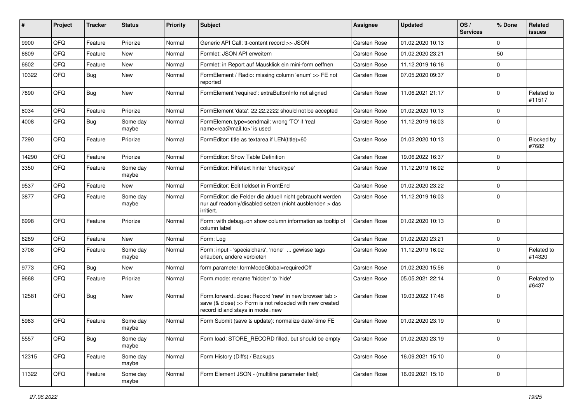| ∦     | Project | <b>Tracker</b> | <b>Status</b>     | <b>Priority</b> | <b>Subject</b>                                                                                                                                      | <b>Assignee</b>     | <b>Updated</b>   | OS/<br><b>Services</b> | % Done      | Related<br>issues    |
|-------|---------|----------------|-------------------|-----------------|-----------------------------------------------------------------------------------------------------------------------------------------------------|---------------------|------------------|------------------------|-------------|----------------------|
| 9900  | QFQ     | Feature        | Priorize          | Normal          | Generic API Call: tt-content record >> JSON                                                                                                         | <b>Carsten Rose</b> | 01.02.2020 10:13 |                        | $\Omega$    |                      |
| 6609  | QFQ     | Feature        | New               | Normal          | Formlet: JSON API erweitern                                                                                                                         | <b>Carsten Rose</b> | 01.02.2020 23:21 |                        | 50          |                      |
| 6602  | QFQ     | Feature        | <b>New</b>        | Normal          | Formlet: in Report auf Mausklick ein mini-form oeffnen                                                                                              | Carsten Rose        | 11.12.2019 16:16 |                        | $\Omega$    |                      |
| 10322 | QFQ     | Bug            | <b>New</b>        | Normal          | FormElement / Radio: missing column 'enum' >> FE not<br>reported                                                                                    | Carsten Rose        | 07.05.2020 09:37 |                        | $\Omega$    |                      |
| 7890  | QFQ     | <b>Bug</b>     | New               | Normal          | FormElement 'required': extraButtonInfo not aligned                                                                                                 | <b>Carsten Rose</b> | 11.06.2021 21:17 |                        | $\Omega$    | Related to<br>#11517 |
| 8034  | QFQ     | Feature        | Priorize          | Normal          | FormElement 'data': 22.22.2222 should not be accepted                                                                                               | <b>Carsten Rose</b> | 01.02.2020 10:13 |                        | $\Omega$    |                      |
| 4008  | QFQ     | Bug            | Some day<br>maybe | Normal          | FormElemen.type=sendmail: wrong 'TO' if 'real<br>name <rea@mail.to>' is used</rea@mail.to>                                                          | Carsten Rose        | 11.12.2019 16:03 |                        | $\Omega$    |                      |
| 7290  | QFQ     | Feature        | Priorize          | Normal          | FormEditor: title as textarea if LEN(title)>60                                                                                                      | <b>Carsten Rose</b> | 01.02.2020 10:13 |                        | $\Omega$    | Blocked by<br>#7682  |
| 14290 | QFQ     | Feature        | Priorize          | Normal          | FormEditor: Show Table Definition                                                                                                                   | <b>Carsten Rose</b> | 19.06.2022 16:37 |                        | $\mathbf 0$ |                      |
| 3350  | QFQ     | Feature        | Some day<br>maybe | Normal          | FormEditor: Hilfetext hinter 'checktype'                                                                                                            | Carsten Rose        | 11.12.2019 16:02 |                        | $\mathbf 0$ |                      |
| 9537  | QFQ     | Feature        | New               | Normal          | FormEditor: Edit fieldset in FrontEnd                                                                                                               | <b>Carsten Rose</b> | 01.02.2020 23:22 |                        | $\Omega$    |                      |
| 3877  | QFQ     | Feature        | Some day<br>maybe | Normal          | FormEditor: die Felder die aktuell nicht gebraucht werden<br>nur auf readonly/disabled setzen (nicht ausblenden > das<br>irritiert.                 | Carsten Rose        | 11.12.2019 16:03 |                        | $\Omega$    |                      |
| 6998  | QFQ     | Feature        | Priorize          | Normal          | Form: with debug=on show column information as tooltip of<br>column label                                                                           | Carsten Rose        | 01.02.2020 10:13 |                        | $\Omega$    |                      |
| 6289  | QFQ     | Feature        | <b>New</b>        | Normal          | Form: Log                                                                                                                                           | <b>Carsten Rose</b> | 01.02.2020 23:21 |                        | $\mathbf 0$ |                      |
| 3708  | QFQ     | Feature        | Some day<br>maybe | Normal          | Form: input - 'specialchars', 'none'  gewisse tags<br>erlauben, andere verbieten                                                                    | Carsten Rose        | 11.12.2019 16:02 |                        | $\mathbf 0$ | Related to<br>#14320 |
| 9773  | QFQ     | Bug            | <b>New</b>        | Normal          | form.parameter.formModeGlobal=requiredOff                                                                                                           | <b>Carsten Rose</b> | 01.02.2020 15:56 |                        | $\mathbf 0$ |                      |
| 9668  | QFQ     | Feature        | Priorize          | Normal          | Form.mode: rename 'hidden' to 'hide'                                                                                                                | Carsten Rose        | 05.05.2021 22:14 |                        | $\Omega$    | Related to<br>#6437  |
| 12581 | QFQ     | <b>Bug</b>     | <b>New</b>        | Normal          | Form.forward=close: Record 'new' in new browser tab ><br>save (& close) >> Form is not reloaded with new created<br>record id and stays in mode=new | <b>Carsten Rose</b> | 19.03.2022 17:48 |                        | $\Omega$    |                      |
| 5983  | QFQ     | Feature        | Some day<br>maybe | Normal          | Form Submit (save & update): normalize date/-time FE                                                                                                | <b>Carsten Rose</b> | 01.02.2020 23:19 |                        | $\Omega$    |                      |
| 5557  | QFQ     | <b>Bug</b>     | Some day<br>maybe | Normal          | Form load: STORE_RECORD filled, but should be empty                                                                                                 | <b>Carsten Rose</b> | 01.02.2020 23:19 |                        | $\mathbf 0$ |                      |
| 12315 | QFQ     | Feature        | Some day<br>maybe | Normal          | Form History (Diffs) / Backups                                                                                                                      | Carsten Rose        | 16.09.2021 15:10 |                        | $\mathbf 0$ |                      |
| 11322 | QFQ     | Feature        | Some day<br>maybe | Normal          | Form Element JSON - (multiline parameter field)                                                                                                     | Carsten Rose        | 16.09.2021 15:10 |                        | 0           |                      |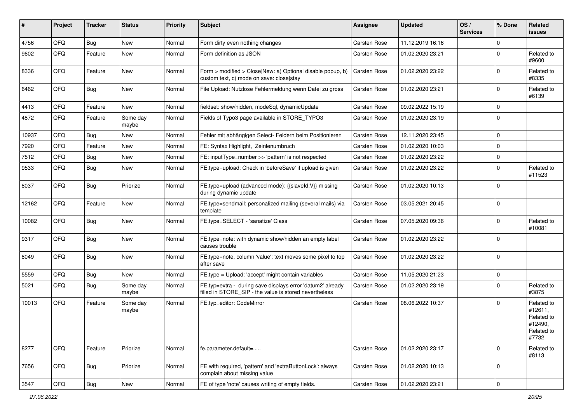| ∦     | Project | <b>Tracker</b> | <b>Status</b>     | <b>Priority</b> | Subject                                                                                                              | <b>Assignee</b> | <b>Updated</b>   | OS/<br><b>Services</b> | % Done      | Related<br>issues                                                     |
|-------|---------|----------------|-------------------|-----------------|----------------------------------------------------------------------------------------------------------------------|-----------------|------------------|------------------------|-------------|-----------------------------------------------------------------------|
| 4756  | QFQ     | <b>Bug</b>     | <b>New</b>        | Normal          | Form dirty even nothing changes                                                                                      | Carsten Rose    | 11.12.2019 16:16 |                        | $\mathbf 0$ |                                                                       |
| 9602  | QFQ     | Feature        | New               | Normal          | Form definition as JSON                                                                                              | Carsten Rose    | 01.02.2020 23:21 |                        | 0           | Related to<br>#9600                                                   |
| 8336  | QFQ     | Feature        | <b>New</b>        | Normal          | Form > modified > Close New: a) Optional disable popup, b)<br>custom text, c) mode on save: close stay               | Carsten Rose    | 01.02.2020 23:22 |                        | $\mathbf 0$ | Related to<br>#8335                                                   |
| 6462  | QFQ     | <b>Bug</b>     | <b>New</b>        | Normal          | File Upload: Nutzlose Fehlermeldung wenn Datei zu gross                                                              | Carsten Rose    | 01.02.2020 23:21 |                        | $\mathbf 0$ | Related to<br>#6139                                                   |
| 4413  | QFQ     | Feature        | New               | Normal          | fieldset: show/hidden, modeSql, dynamicUpdate                                                                        | Carsten Rose    | 09.02.2022 15:19 |                        | $\mathbf 0$ |                                                                       |
| 4872  | QFQ     | Feature        | Some day<br>maybe | Normal          | Fields of Typo3 page available in STORE TYPO3                                                                        | Carsten Rose    | 01.02.2020 23:19 |                        | $\mathbf 0$ |                                                                       |
| 10937 | QFQ     | <b>Bug</b>     | <b>New</b>        | Normal          | Fehler mit abhängigen Select- Feldern beim Positionieren                                                             | Carsten Rose    | 12.11.2020 23:45 |                        | $\mathbf 0$ |                                                                       |
| 7920  | QFQ     | Feature        | <b>New</b>        | Normal          | FE: Syntax Highlight, Zeinlenumbruch                                                                                 | Carsten Rose    | 01.02.2020 10:03 |                        | $\mathbf 0$ |                                                                       |
| 7512  | QFQ     | <b>Bug</b>     | <b>New</b>        | Normal          | FE: inputType=number >> 'pattern' is not respected                                                                   | Carsten Rose    | 01.02.2020 23:22 |                        | $\mathbf 0$ |                                                                       |
| 9533  | QFQ     | <b>Bug</b>     | <b>New</b>        | Normal          | FE.type=upload: Check in 'beforeSave' if upload is given                                                             | Carsten Rose    | 01.02.2020 23:22 |                        | $\mathbf 0$ | Related to<br>#11523                                                  |
| 8037  | QFQ     | Bug            | Priorize          | Normal          | FE.type=upload (advanced mode): {{slaveId:V}} missing<br>during dynamic update                                       | Carsten Rose    | 01.02.2020 10:13 |                        | $\Omega$    |                                                                       |
| 12162 | QFQ     | Feature        | New               | Normal          | FE.type=sendmail: personalized mailing (several mails) via<br>template                                               | Carsten Rose    | 03.05.2021 20:45 |                        | $\mathbf 0$ |                                                                       |
| 10082 | QFQ     | <b>Bug</b>     | New               | Normal          | FE.type=SELECT - 'sanatize' Class                                                                                    | Carsten Rose    | 07.05.2020 09:36 |                        | $\mathbf 0$ | Related to<br>#10081                                                  |
| 9317  | QFQ     | <b>Bug</b>     | <b>New</b>        | Normal          | FE.type=note: with dynamic show/hidden an empty label<br>causes trouble                                              | Carsten Rose    | 01.02.2020 23:22 |                        | $\mathbf 0$ |                                                                       |
| 8049  | QFQ     | Bug            | <b>New</b>        | Normal          | FE.type=note, column 'value': text moves some pixel to top<br>after save                                             | Carsten Rose    | 01.02.2020 23:22 |                        | $\mathbf 0$ |                                                                       |
| 5559  | QFQ     | Bug            | New               | Normal          | FE.type = Upload: 'accept' might contain variables                                                                   | Carsten Rose    | 11.05.2020 21:23 |                        | $\mathbf 0$ |                                                                       |
| 5021  | QFQ     | <b>Bug</b>     | Some day<br>maybe | Normal          | FE.typ=extra - during save displays error 'datum2' already<br>filled in STORE_SIP - the value is stored nevertheless | Carsten Rose    | 01.02.2020 23:19 |                        | $\Omega$    | Related to<br>#3875                                                   |
| 10013 | QFQ     | Feature        | Some day<br>maybe | Normal          | FE.tvp=editor: CodeMirror                                                                                            | Carsten Rose    | 08.06.2022 10:37 |                        | $\mathbf 0$ | Related to<br>#12611,<br>Related to<br>#12490,<br>Related to<br>#7732 |
| 8277  | QFQ     | Feature        | Priorize          | Normal          | fe.parameter.default=                                                                                                | Carsten Rose    | 01.02.2020 23:17 |                        | 0           | Related to<br>#8113                                                   |
| 7656  | QFQ     | <b>Bug</b>     | Priorize          | Normal          | FE with required, 'pattern' and 'extraButtonLock': always<br>complain about missing value                            | Carsten Rose    | 01.02.2020 10:13 |                        | $\mathbf 0$ |                                                                       |
| 3547  | QFQ     | <b>Bug</b>     | New               | Normal          | FE of type 'note' causes writing of empty fields.                                                                    | Carsten Rose    | 01.02.2020 23:21 |                        | $\pmb{0}$   |                                                                       |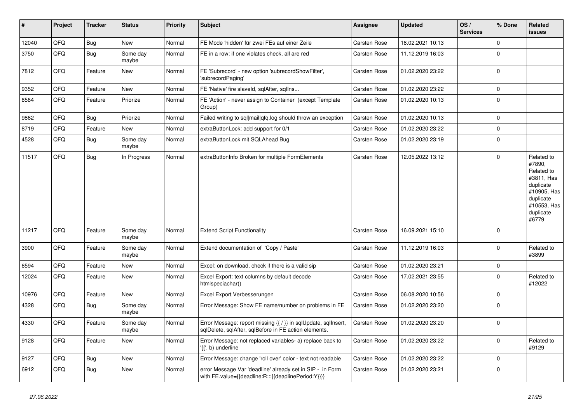| $\vert$ # | Project | <b>Tracker</b> | <b>Status</b>     | <b>Priority</b> | <b>Subject</b>                                                                                                          | Assignee            | <b>Updated</b>   | OS/<br><b>Services</b> | % Done      | Related<br>issues                                                                                                              |
|-----------|---------|----------------|-------------------|-----------------|-------------------------------------------------------------------------------------------------------------------------|---------------------|------------------|------------------------|-------------|--------------------------------------------------------------------------------------------------------------------------------|
| 12040     | QFQ     | Bug            | <b>New</b>        | Normal          | FE Mode 'hidden' für zwei FEs auf einer Zeile                                                                           | Carsten Rose        | 18.02.2021 10:13 |                        | $\Omega$    |                                                                                                                                |
| 3750      | QFQ     | <b>Bug</b>     | Some day<br>maybe | Normal          | FE in a row: if one violates check, all are red                                                                         | <b>Carsten Rose</b> | 11.12.2019 16:03 |                        | $\Omega$    |                                                                                                                                |
| 7812      | QFQ     | Feature        | <b>New</b>        | Normal          | FE 'Subrecord' - new option 'subrecordShowFilter',<br>'subrecordPaging'                                                 | <b>Carsten Rose</b> | 01.02.2020 23:22 |                        | $\Omega$    |                                                                                                                                |
| 9352      | QFQ     | Feature        | <b>New</b>        | Normal          | FE 'Native' fire slaveld, sqlAfter, sqlIns                                                                              | <b>Carsten Rose</b> | 01.02.2020 23:22 |                        | $\Omega$    |                                                                                                                                |
| 8584      | QFQ     | Feature        | Priorize          | Normal          | FE 'Action' - never assign to Container (except Template<br>Group)                                                      | <b>Carsten Rose</b> | 01.02.2020 10:13 |                        | $\Omega$    |                                                                                                                                |
| 9862      | QFQ     | Bug            | Priorize          | Normal          | Failed writing to sql mail qfq.log should throw an exception                                                            | Carsten Rose        | 01.02.2020 10:13 |                        | $\Omega$    |                                                                                                                                |
| 8719      | QFQ     | Feature        | <b>New</b>        | Normal          | extraButtonLock: add support for 0/1                                                                                    | Carsten Rose        | 01.02.2020 23:22 |                        | 0           |                                                                                                                                |
| 4528      | QFQ     | Bug            | Some day<br>maybe | Normal          | extraButtonLock mit SQLAhead Bug                                                                                        | <b>Carsten Rose</b> | 01.02.2020 23:19 |                        | $\Omega$    |                                                                                                                                |
| 11517     | QFQ     | <b>Bug</b>     | In Progress       | Normal          | extraButtonInfo Broken for multiple FormElements                                                                        | <b>Carsten Rose</b> | 12.05.2022 13:12 |                        | $\Omega$    | Related to<br>#7890,<br>Related to<br>#3811, Has<br>duplicate<br>#10905, Has<br>duplicate<br>#10553, Has<br>duplicate<br>#6779 |
| 11217     | QFQ     | Feature        | Some day<br>maybe | Normal          | <b>Extend Script Functionality</b>                                                                                      | <b>Carsten Rose</b> | 16.09.2021 15:10 |                        | $\Omega$    |                                                                                                                                |
| 3900      | QFQ     | Feature        | Some day<br>maybe | Normal          | Extend documentation of 'Copy / Paste'                                                                                  | Carsten Rose        | 11.12.2019 16:03 |                        | $\Omega$    | Related to<br>#3899                                                                                                            |
| 6594      | QFQ     | Feature        | <b>New</b>        | Normal          | Excel: on download, check if there is a valid sip                                                                       | Carsten Rose        | 01.02.2020 23:21 |                        | $\Omega$    |                                                                                                                                |
| 12024     | QFQ     | Feature        | <b>New</b>        | Normal          | Excel Export: text columns by default decode<br>htmlspeciachar()                                                        | Carsten Rose        | 17.02.2021 23:55 |                        | $\Omega$    | Related to<br>#12022                                                                                                           |
| 10976     | QFQ     | Feature        | <b>New</b>        | Normal          | Excel Export Verbesserungen                                                                                             | <b>Carsten Rose</b> | 06.08.2020 10:56 |                        | $\Omega$    |                                                                                                                                |
| 4328      | QFQ     | <b>Bug</b>     | Some day<br>maybe | Normal          | Error Message: Show FE name/number on problems in FE                                                                    | <b>Carsten Rose</b> | 01.02.2020 23:20 |                        | $\Omega$    |                                                                                                                                |
| 4330      | QFQ     | Feature        | Some day<br>maybe | Normal          | Error Message: report missing {{ / }} in sqlUpdate, sqlInsert,<br>sqlDelete, sqlAfter, sqlBefore in FE action elements. | Carsten Rose        | 01.02.2020 23:20 |                        | $\Omega$    |                                                                                                                                |
| 9128      | QFQ     | Feature        | <b>New</b>        | Normal          | Error Message: not replaced variables- a) replace back to<br>'{{', b) underline                                         | Carsten Rose        | 01.02.2020 23:22 |                        | $\mathbf 0$ | Related to<br>#9129                                                                                                            |
| 9127      | QFQ     | <b>Bug</b>     | <b>New</b>        | Normal          | Error Message: change 'roll over' color - text not readable                                                             | Carsten Rose        | 01.02.2020 23:22 |                        | $\Omega$    |                                                                                                                                |
| 6912      | QFQ     | <b>Bug</b>     | <b>New</b>        | Normal          | error Message Var 'deadline' already set in SIP - in Form<br>with FE.value={{deadline:R:::{{deadlinePeriod:Y}}}}        | <b>Carsten Rose</b> | 01.02.2020 23:21 |                        | $\Omega$    |                                                                                                                                |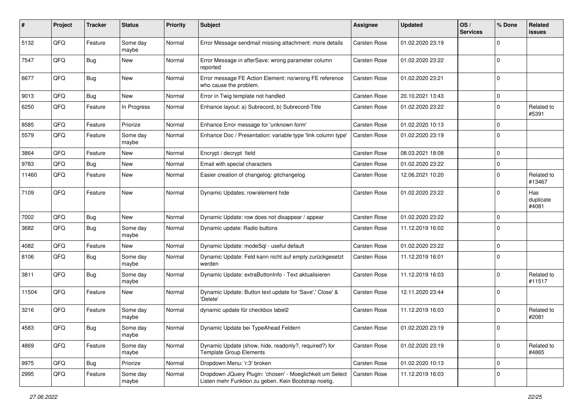| #     | Project | <b>Tracker</b> | <b>Status</b>     | <b>Priority</b> | Subject                                                                                                            | <b>Assignee</b> | <b>Updated</b>   | OS/<br><b>Services</b> | % Done         | Related<br>issues         |
|-------|---------|----------------|-------------------|-----------------|--------------------------------------------------------------------------------------------------------------------|-----------------|------------------|------------------------|----------------|---------------------------|
| 5132  | QFQ     | Feature        | Some day<br>maybe | Normal          | Error Message sendmail missing attachment: more details                                                            | Carsten Rose    | 01.02.2020 23:19 |                        | $\Omega$       |                           |
| 7547  | QFQ     | Bug            | New               | Normal          | Error Message in afterSave: wrong parameter column<br>reported                                                     | Carsten Rose    | 01.02.2020 23:22 |                        | $\mathbf 0$    |                           |
| 6677  | QFQ     | Bug            | <b>New</b>        | Normal          | Error message FE Action Element: no/wrong FE reference<br>who cause the problem.                                   | Carsten Rose    | 01.02.2020 23:21 |                        | $\Omega$       |                           |
| 9013  | QFQ     | Bug            | <b>New</b>        | Normal          | Error in Twig template not handled                                                                                 | Carsten Rose    | 20.10.2021 13:43 |                        | 0              |                           |
| 6250  | QFQ     | Feature        | In Progress       | Normal          | Enhance layout: a) Subrecord, b) Subrecord-Title                                                                   | Carsten Rose    | 01.02.2020 23:22 |                        | $\Omega$       | Related to<br>#5391       |
| 8585  | QFQ     | Feature        | Priorize          | Normal          | Enhance Error message for 'unknown form'                                                                           | Carsten Rose    | 01.02.2020 10:13 |                        | $\Omega$       |                           |
| 5579  | QFQ     | Feature        | Some day<br>maybe | Normal          | Enhance Doc / Presentation: variable type 'link column type'                                                       | Carsten Rose    | 01.02.2020 23:19 |                        | 0              |                           |
| 3864  | QFQ     | Feature        | <b>New</b>        | Normal          | Encrypt / decrypt field                                                                                            | Carsten Rose    | 08.03.2021 18:08 |                        | $\Omega$       |                           |
| 9783  | QFQ     | Bug            | <b>New</b>        | Normal          | Email with special characters                                                                                      | Carsten Rose    | 01.02.2020 23:22 |                        | $\Omega$       |                           |
| 11460 | QFQ     | Feature        | New               | Normal          | Easier creation of changelog: gitchangelog                                                                         | Carsten Rose    | 12.06.2021 10:20 |                        | $\Omega$       | Related to<br>#13467      |
| 7109  | QFQ     | Feature        | <b>New</b>        | Normal          | Dynamic Updates: row/element hide                                                                                  | Carsten Rose    | 01.02.2020 23:22 |                        | $\Omega$       | Has<br>duplicate<br>#4081 |
| 7002  | QFQ     | Bug            | <b>New</b>        | Normal          | Dynamic Update: row does not disappear / appear                                                                    | Carsten Rose    | 01.02.2020 23:22 |                        | $\Omega$       |                           |
| 3682  | QFQ     | Bug            | Some day<br>maybe | Normal          | Dynamic update: Radio buttons                                                                                      | Carsten Rose    | 11.12.2019 16:02 |                        | $\Omega$       |                           |
| 4082  | QFQ     | Feature        | <b>New</b>        | Normal          | Dynamic Update: modeSql - useful default                                                                           | Carsten Rose    | 01.02.2020 23:22 |                        | 0              |                           |
| 8106  | QFQ     | Bug            | Some day<br>maybe | Normal          | Dynamic Update: Feld kann nicht auf empty zurückgesetzt<br>werden                                                  | Carsten Rose    | 11.12.2019 16:01 |                        | $\Omega$       |                           |
| 3811  | QFQ     | Bug            | Some day<br>maybe | Normal          | Dynamic Update: extraButtonInfo - Text aktualisieren                                                               | Carsten Rose    | 11.12.2019 16:03 |                        | $\Omega$       | Related to<br>#11517      |
| 11504 | QFQ     | Feature        | <b>New</b>        | Normal          | Dynamic Update: Button text update for 'Save',' Close' &<br>'Delete'                                               | Carsten Rose    | 12.11.2020 23:44 |                        | $\mathbf 0$    |                           |
| 3216  | QFQ     | Feature        | Some day<br>maybe | Normal          | dynamic update für checkbox label2                                                                                 | Carsten Rose    | 11.12.2019 16:03 |                        | $\Omega$       | Related to<br>#2081       |
| 4583  | QFQ     | <b>Bug</b>     | Some day<br>maybe | Normal          | Dynamic Update bei TypeAhead Feldern                                                                               | Carsten Rose    | 01.02.2020 23:19 |                        | $\overline{0}$ |                           |
| 4869  | QFQ     | Feature        | Some day<br>maybe | Normal          | Dynamic Update (show, hide, readonly?, required?) for<br><b>Template Group Elements</b>                            | Carsten Rose    | 01.02.2020 23:19 |                        | $\Omega$       | Related to<br>#4865       |
| 9975  | QFQ     | <b>Bug</b>     | Priorize          | Normal          | Dropdown Menu: 'r:3' broken                                                                                        | Carsten Rose    | 01.02.2020 10:13 |                        | $\mathbf 0$    |                           |
| 2995  | QFQ     | Feature        | Some day<br>maybe | Normal          | Dropdown JQuery Plugin: 'chosen' - Moeglichkeit um Select<br>Listen mehr Funktion zu geben. Kein Bootstrap noetig. | Carsten Rose    | 11.12.2019 16:03 |                        | 0              |                           |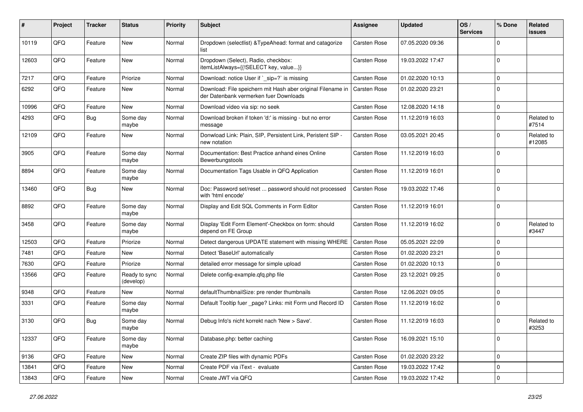| #     | Project | <b>Tracker</b> | <b>Status</b>              | <b>Priority</b> | <b>Subject</b>                                                                                        | Assignee            | <b>Updated</b>   | OS/<br><b>Services</b> | % Done      | Related<br>issues    |
|-------|---------|----------------|----------------------------|-----------------|-------------------------------------------------------------------------------------------------------|---------------------|------------------|------------------------|-------------|----------------------|
| 10119 | QFQ     | Feature        | New                        | Normal          | Dropdown (selectlist) & TypeAhead: format and catagorize<br>list                                      | <b>Carsten Rose</b> | 07.05.2020 09:36 |                        | 0           |                      |
| 12603 | QFQ     | Feature        | New                        | Normal          | Dropdown (Select), Radio, checkbox:<br>itemListAlways={{!SELECT key, value}}                          | <b>Carsten Rose</b> | 19.03.2022 17:47 |                        | $\Omega$    |                      |
| 7217  | QFQ     | Feature        | Priorize                   | Normal          | Download: notice User if `_sip=?` is missing                                                          | Carsten Rose        | 01.02.2020 10:13 |                        | $\Omega$    |                      |
| 6292  | QFQ     | Feature        | New                        | Normal          | Download: File speichern mit Hash aber original Filename in<br>der Datenbank vermerken fuer Downloads | <b>Carsten Rose</b> | 01.02.2020 23:21 |                        | $\Omega$    |                      |
| 10996 | QFQ     | Feature        | New                        | Normal          | Download video via sip: no seek                                                                       | Carsten Rose        | 12.08.2020 14:18 |                        | $\Omega$    |                      |
| 4293  | QFQ     | Bug            | Some day<br>maybe          | Normal          | Download broken if token 'd:' is missing - but no error<br>message                                    | Carsten Rose        | 11.12.2019 16:03 |                        | $\Omega$    | Related to<br>#7514  |
| 12109 | QFQ     | Feature        | <b>New</b>                 | Normal          | Donwload Link: Plain, SIP, Persistent Link, Peristent SIP -<br>new notation                           | <b>Carsten Rose</b> | 03.05.2021 20:45 |                        | 0           | Related to<br>#12085 |
| 3905  | QFQ     | Feature        | Some day<br>maybe          | Normal          | Documentation: Best Practice anhand eines Online<br>Bewerbungstools                                   | Carsten Rose        | 11.12.2019 16:03 |                        | $\Omega$    |                      |
| 8894  | QFQ     | Feature        | Some day<br>maybe          | Normal          | Documentation Tags Usable in QFQ Application                                                          | Carsten Rose        | 11.12.2019 16:01 |                        | $\Omega$    |                      |
| 13460 | QFQ     | Bug            | New                        | Normal          | Doc: Password set/reset  password should not processed<br>with 'html encode'                          | Carsten Rose        | 19.03.2022 17:46 |                        | $\Omega$    |                      |
| 8892  | QFQ     | Feature        | Some day<br>maybe          | Normal          | Display and Edit SQL Comments in Form Editor                                                          | Carsten Rose        | 11.12.2019 16:01 |                        | $\Omega$    |                      |
| 3458  | QFQ     | Feature        | Some day<br>maybe          | Normal          | Display 'Edit Form Element'-Checkbox on form: should<br>depend on FE Group                            | <b>Carsten Rose</b> | 11.12.2019 16:02 |                        | 0           | Related to<br>#3447  |
| 12503 | QFQ     | Feature        | Priorize                   | Normal          | Detect dangerous UPDATE statement with missing WHERE                                                  | <b>Carsten Rose</b> | 05.05.2021 22:09 |                        | 0           |                      |
| 7481  | QFQ     | Feature        | New                        | Normal          | Detect 'BaseUrl' automatically                                                                        | Carsten Rose        | 01.02.2020 23:21 |                        | $\Omega$    |                      |
| 7630  | QFQ     | Feature        | Priorize                   | Normal          | detailed error message for simple upload                                                              | Carsten Rose        | 01.02.2020 10:13 |                        | $\Omega$    |                      |
| 13566 | QFQ     | Feature        | Ready to sync<br>(develop) | Normal          | Delete config-example.qfq.php file                                                                    | Carsten Rose        | 23.12.2021 09:25 |                        | $\Omega$    |                      |
| 9348  | QFQ     | Feature        | New                        | Normal          | defaultThumbnailSize: pre render thumbnails                                                           | Carsten Rose        | 12.06.2021 09:05 |                        | 0           |                      |
| 3331  | QFQ     | Feature        | Some day<br>maybe          | Normal          | Default Tooltip fuer _page? Links: mit Form und Record ID                                             | Carsten Rose        | 11.12.2019 16:02 |                        | $\Omega$    |                      |
| 3130  | QFQ     | Bug            | Some day<br>maybe          | Normal          | Debug Info's nicht korrekt nach 'New > Save'.                                                         | Carsten Rose        | 11.12.2019 16:03 |                        | $\Omega$    | Related to<br>#3253  |
| 12337 | QFQ     | Feature        | Some day<br>maybe          | Normal          | Database.php: better caching                                                                          | Carsten Rose        | 16.09.2021 15:10 |                        | $\mathbf 0$ |                      |
| 9136  | QFQ     | Feature        | New                        | Normal          | Create ZIP files with dynamic PDFs                                                                    | Carsten Rose        | 01.02.2020 23:22 |                        | 0           |                      |
| 13841 | QFQ     | Feature        | New                        | Normal          | Create PDF via iText - evaluate                                                                       | Carsten Rose        | 19.03.2022 17:42 |                        | $\mathbf 0$ |                      |
| 13843 | QFQ     | Feature        | New                        | Normal          | Create JWT via QFQ                                                                                    | Carsten Rose        | 19.03.2022 17:42 |                        | 0           |                      |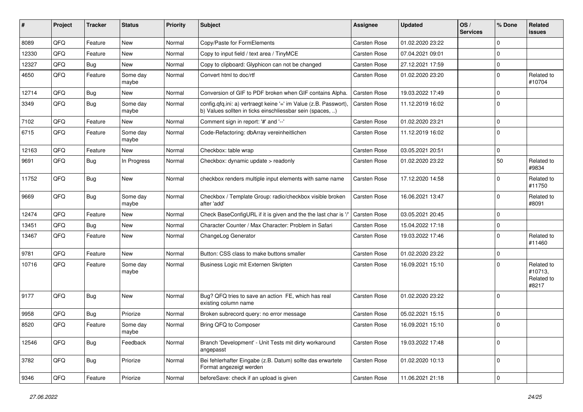| #     | Project | <b>Tracker</b> | <b>Status</b>     | <b>Priority</b> | Subject                                                                                                                       | <b>Assignee</b>     | <b>Updated</b>   | OS/<br><b>Services</b> | % Done         | Related<br>issues                            |
|-------|---------|----------------|-------------------|-----------------|-------------------------------------------------------------------------------------------------------------------------------|---------------------|------------------|------------------------|----------------|----------------------------------------------|
| 8089  | QFQ     | Feature        | <b>New</b>        | Normal          | Copy/Paste for FormElements                                                                                                   | Carsten Rose        | 01.02.2020 23:22 |                        | $\mathbf 0$    |                                              |
| 12330 | QFQ     | Feature        | New               | Normal          | Copy to input field / text area / TinyMCE                                                                                     | Carsten Rose        | 07.04.2021 09:01 |                        | $\Omega$       |                                              |
| 12327 | QFQ     | <b>Bug</b>     | New               | Normal          | Copy to clipboard: Glyphicon can not be changed                                                                               | Carsten Rose        | 27.12.2021 17:59 |                        | $\mathbf 0$    |                                              |
| 4650  | QFQ     | Feature        | Some day<br>maybe | Normal          | Convert html to doc/rtf                                                                                                       | Carsten Rose        | 01.02.2020 23:20 |                        | $\mathbf 0$    | Related to<br>#10704                         |
| 12714 | QFQ     | <b>Bug</b>     | <b>New</b>        | Normal          | Conversion of GIF to PDF broken when GIF contains Alpha.                                                                      | Carsten Rose        | 19.03.2022 17:49 |                        | $\Omega$       |                                              |
| 3349  | QFQ     | Bug            | Some day<br>maybe | Normal          | config.qfq.ini: a) vertraegt keine '=' im Value (z.B. Passwort),<br>b) Values sollten in ticks einschliessbar sein (spaces, ) | Carsten Rose        | 11.12.2019 16:02 |                        | 0              |                                              |
| 7102  | QFQ     | Feature        | <b>New</b>        | Normal          | Comment sign in report: '#' and '--'                                                                                          | Carsten Rose        | 01.02.2020 23:21 |                        | $\mathbf 0$    |                                              |
| 6715  | QFQ     | Feature        | Some day<br>maybe | Normal          | Code-Refactoring: dbArray vereinheitlichen                                                                                    | Carsten Rose        | 11.12.2019 16:02 |                        | $\Omega$       |                                              |
| 12163 | QFQ     | Feature        | <b>New</b>        | Normal          | Checkbox: table wrap                                                                                                          | Carsten Rose        | 03.05.2021 20:51 |                        | $\mathbf 0$    |                                              |
| 9691  | QFQ     | Bug            | In Progress       | Normal          | Checkbox: dynamic update > readonly                                                                                           | <b>Carsten Rose</b> | 01.02.2020 23:22 |                        | 50             | Related to<br>#9834                          |
| 11752 | QFQ     | <b>Bug</b>     | New               | Normal          | checkbox renders multiple input elements with same name                                                                       | <b>Carsten Rose</b> | 17.12.2020 14:58 |                        | $\Omega$       | Related to<br>#11750                         |
| 9669  | QFQ     | Bug            | Some day<br>maybe | Normal          | Checkbox / Template Group: radio/checkbox visible broken<br>after 'add'                                                       | Carsten Rose        | 16.06.2021 13:47 |                        | $\Omega$       | Related to<br>#8091                          |
| 12474 | QFQ     | Feature        | New               | Normal          | Check BaseConfigURL if it is given and the the last char is '/'                                                               | Carsten Rose        | 03.05.2021 20:45 |                        | $\mathbf 0$    |                                              |
| 13451 | QFQ     | Bug            | New               | Normal          | Character Counter / Max Character: Problem in Safari                                                                          | <b>Carsten Rose</b> | 15.04.2022 17:18 |                        | 0              |                                              |
| 13467 | QFQ     | Feature        | New               | Normal          | ChangeLog Generator                                                                                                           | Carsten Rose        | 19.03.2022 17:46 |                        | $\Omega$       | Related to<br>#11460                         |
| 9781  | QFQ     | Feature        | <b>New</b>        | Normal          | Button: CSS class to make buttons smaller                                                                                     | Carsten Rose        | 01.02.2020 23:22 |                        | $\mathbf 0$    |                                              |
| 10716 | QFQ     | Feature        | Some day<br>maybe | Normal          | Business Logic mit Externen Skripten                                                                                          | Carsten Rose        | 16.09.2021 15:10 |                        | $\Omega$       | Related to<br>#10713,<br>Related to<br>#8217 |
| 9177  | QFQ     | <b>Bug</b>     | <b>New</b>        | Normal          | Bug? QFQ tries to save an action FE, which has real<br>existing column name                                                   | Carsten Rose        | 01.02.2020 23:22 |                        | $\Omega$       |                                              |
| 9958  | QFQ     | Bug            | Priorize          | Normal          | Broken subrecord query: no error message                                                                                      | <b>Carsten Rose</b> | 05.02.2021 15:15 |                        | $\mathbf 0$    |                                              |
| 8520  | QFQ     | Feature        | Some day<br>maybe | Normal          | Bring QFQ to Composer                                                                                                         | Carsten Rose        | 16.09.2021 15:10 |                        | 0              |                                              |
| 12546 | QFQ     | Bug            | Feedback          | Normal          | Branch 'Development' - Unit Tests mit dirty workaround<br>angepasst                                                           | Carsten Rose        | 19.03.2022 17:48 |                        | $\mathbf 0$    |                                              |
| 3782  | QFG     | Bug            | Priorize          | Normal          | Bei fehlerhafter Eingabe (z.B. Datum) sollte das erwartete<br>Format angezeigt werden                                         | Carsten Rose        | 01.02.2020 10:13 |                        | $\mathbf 0$    |                                              |
| 9346  | QFG     | Feature        | Priorize          | Normal          | beforeSave: check if an upload is given                                                                                       | Carsten Rose        | 11.06.2021 21:18 |                        | $\overline{0}$ |                                              |